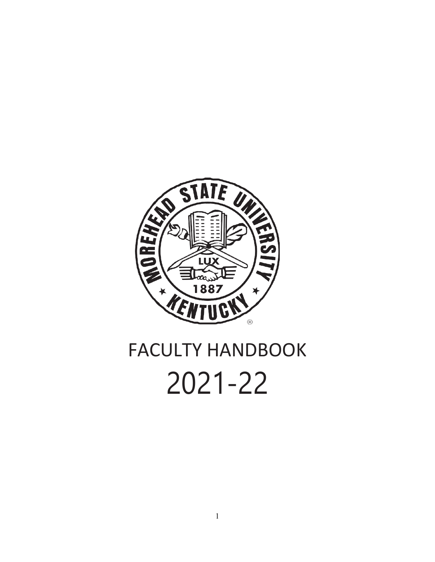

# FACULTY HANDBOOK 2021-22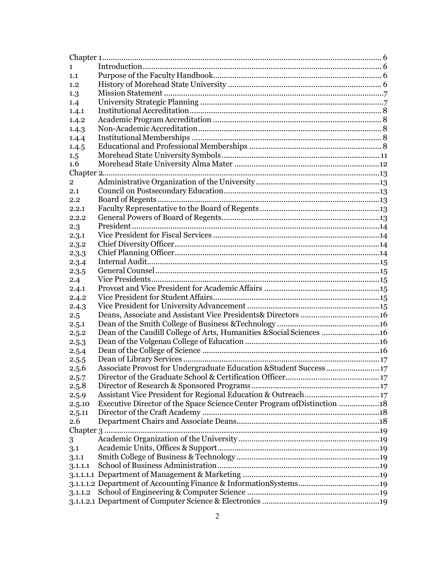| 1             |                                                                          |  |
|---------------|--------------------------------------------------------------------------|--|
| 1.1           |                                                                          |  |
| 1.2           |                                                                          |  |
| 1.3           |                                                                          |  |
| 1.4           |                                                                          |  |
| 1.4.1         |                                                                          |  |
| 1.4.2         |                                                                          |  |
| 1.4.3         |                                                                          |  |
| 1.4.4         |                                                                          |  |
| 1.4.5         |                                                                          |  |
| 1.5           |                                                                          |  |
| 1.6           |                                                                          |  |
| Chapter 2.    |                                                                          |  |
| 2             |                                                                          |  |
| $2.1\,$       |                                                                          |  |
| $2.2\,$       |                                                                          |  |
| 2.2.1         |                                                                          |  |
| 2.2.2         |                                                                          |  |
| 2.3           |                                                                          |  |
| 2.3.1         |                                                                          |  |
| 2.3.2         |                                                                          |  |
| 2.3.3         |                                                                          |  |
| 2.3.4         |                                                                          |  |
| 2.3.5         |                                                                          |  |
| 2.4           |                                                                          |  |
| 2.4.1         |                                                                          |  |
| 2.4.2         |                                                                          |  |
| 2.4.3         |                                                                          |  |
| 2.5           |                                                                          |  |
| 2.5.1         |                                                                          |  |
| 2.5.2         | Dean of the Caudill College of Arts, Humanities & Social Sciences 16     |  |
| 2.5.3         |                                                                          |  |
|               |                                                                          |  |
| 2.5.4         |                                                                          |  |
| 2.5.5         | Associate Provost for Undergraduate Education & Student Success17        |  |
| 2.5.6         |                                                                          |  |
| 2.5.7         |                                                                          |  |
| 2.5.8         | Assistant Vice President for Regional Education & Outreach17             |  |
| 2.5.9         |                                                                          |  |
| 2.5.10        | Executive Director of the Space Science Center Program of Distinction 18 |  |
| 2.5.11<br>2.6 |                                                                          |  |
|               |                                                                          |  |
|               |                                                                          |  |
| 3             |                                                                          |  |
| 3.1           |                                                                          |  |
| 3.1.1         |                                                                          |  |
| 3.1.1.1       |                                                                          |  |
|               |                                                                          |  |
|               |                                                                          |  |
| 3.1.1.2       |                                                                          |  |
|               |                                                                          |  |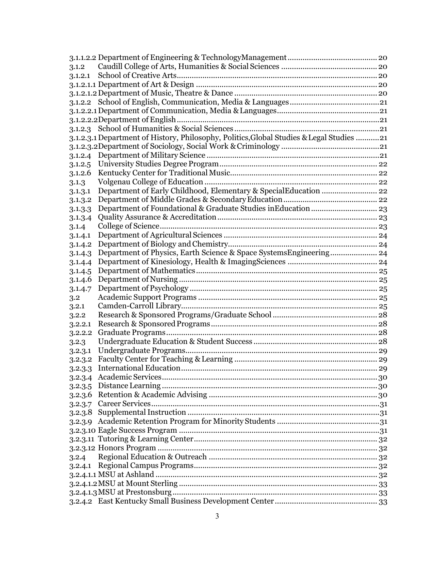|         | 3.1.2.3.1 Department of History, Philosophy, Politics, Global Studies & Legal Studies 21 |  |
|---------|------------------------------------------------------------------------------------------|--|
|         |                                                                                          |  |
|         |                                                                                          |  |
| 3.1.2.5 |                                                                                          |  |
| 3.1.2.6 |                                                                                          |  |
|         |                                                                                          |  |
| 3.1.3   | Department of Early Childhood, Elementary & SpecialEducation  22                         |  |
| 3.1.3.1 |                                                                                          |  |
| 3.1.3.2 |                                                                                          |  |
| 3.1.3.3 |                                                                                          |  |
| 3.1.3.4 |                                                                                          |  |
| 3.1.4   |                                                                                          |  |
| 3.1.4.1 |                                                                                          |  |
| 3.1.4.2 |                                                                                          |  |
| 3.1.4.3 | Department of Physics, Earth Science & Space SystemsEngineering 24                       |  |
| 3.1.4.4 |                                                                                          |  |
| 3.1.4.5 |                                                                                          |  |
| 3.1.4.6 |                                                                                          |  |
| 3.1.4.7 |                                                                                          |  |
| 3.2     |                                                                                          |  |
| 3.2.1   |                                                                                          |  |
| 3.2.2   |                                                                                          |  |
| 3.2.2.1 |                                                                                          |  |
| 3.2.2.2 |                                                                                          |  |
| 3.2.3   |                                                                                          |  |
| 3.2.3.1 |                                                                                          |  |
| 3.2.3.2 |                                                                                          |  |
| 3.2.3.3 |                                                                                          |  |
|         |                                                                                          |  |
|         |                                                                                          |  |
|         |                                                                                          |  |
|         |                                                                                          |  |
|         |                                                                                          |  |
|         |                                                                                          |  |
|         |                                                                                          |  |
|         |                                                                                          |  |
|         |                                                                                          |  |
| 3.2.4   |                                                                                          |  |
|         |                                                                                          |  |
|         |                                                                                          |  |
|         |                                                                                          |  |
|         |                                                                                          |  |
|         |                                                                                          |  |
|         |                                                                                          |  |
|         | 3                                                                                        |  |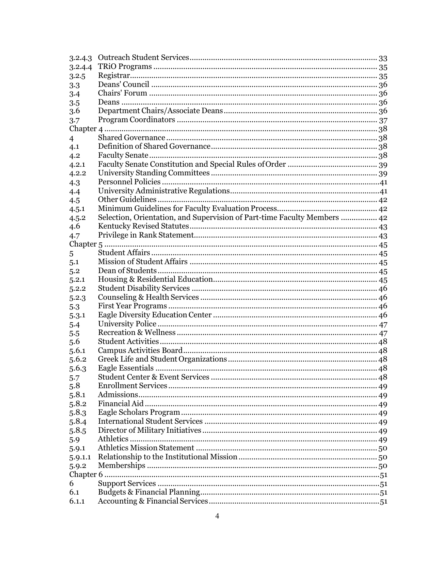| 3.2.4.3        |                                                                          |  |
|----------------|--------------------------------------------------------------------------|--|
| 3.2.4.4        |                                                                          |  |
| 3.2.5          |                                                                          |  |
| 3.3            |                                                                          |  |
| 3.4            |                                                                          |  |
| 3.5            |                                                                          |  |
| 3.6            |                                                                          |  |
| 3.7            |                                                                          |  |
|                |                                                                          |  |
| $\overline{4}$ |                                                                          |  |
| 4.1            |                                                                          |  |
| 4.2            |                                                                          |  |
| 4.2.1          |                                                                          |  |
| 4.2.2          |                                                                          |  |
| 4.3            |                                                                          |  |
| 4.4            |                                                                          |  |
| 4.5            |                                                                          |  |
| 4.5.1          |                                                                          |  |
| 4.5.2          | Selection, Orientation, and Supervision of Part-time Faculty Members  42 |  |
| 4.6            |                                                                          |  |
| 4.7            |                                                                          |  |
|                |                                                                          |  |
| 5              |                                                                          |  |
| 5.1            |                                                                          |  |
| 5.2            |                                                                          |  |
| 5.2.1          |                                                                          |  |
| 5.2.2          |                                                                          |  |
| 5.2.3          |                                                                          |  |
| 5.3            |                                                                          |  |
| 5.3.1          |                                                                          |  |
| 5.4            |                                                                          |  |
| 5.5            |                                                                          |  |
| 5.6            |                                                                          |  |
| 5.6.1          |                                                                          |  |
| 5.6.2          |                                                                          |  |
| 5.6.3          |                                                                          |  |
| 5.7            |                                                                          |  |
| 5.8            |                                                                          |  |
| 5.8.1          |                                                                          |  |
| 5.8.2          |                                                                          |  |
| 5.8.3          |                                                                          |  |
| 5.8.4          |                                                                          |  |
| 5.8.5          |                                                                          |  |
| 5.9            |                                                                          |  |
| 5.9.1          |                                                                          |  |
| 5.9.1.1        |                                                                          |  |
| 5.9.2          |                                                                          |  |
|                |                                                                          |  |
| 6              |                                                                          |  |
| 6.1            |                                                                          |  |
| 6.1.1          |                                                                          |  |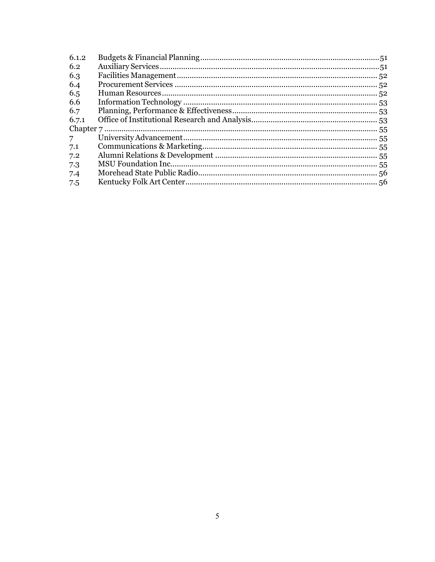| 6.1.2       |  |
|-------------|--|
| 6.2         |  |
| 6.3         |  |
| 6.4         |  |
| 6.5         |  |
| 6.6         |  |
| 6.7         |  |
| 6.7.1       |  |
|             |  |
| $7^{\circ}$ |  |
| 7.1         |  |
| 7.2         |  |
| 7.3         |  |
| 7.4         |  |
| 7.5         |  |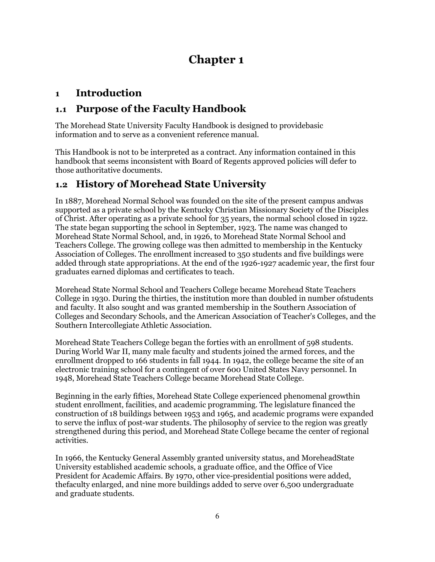# **Chapter 1**

## <span id="page-5-1"></span><span id="page-5-0"></span>**1 Introduction**

## <span id="page-5-2"></span>**1.1 Purpose of the Faculty Handbook**

The Morehead State University Faculty Handbook is designed to providebasic information and to serve as a convenient reference manual.

This Handbook is not to be interpreted as a contract. Any information contained in this handbook that seems inconsistent with Board of Regents approved policies will defer to those authoritative documents.

## <span id="page-5-3"></span>**1.2 History of Morehead State University**

In 1887, Morehead Normal School was founded on the site of the present campus andwas supported as a private school by the Kentucky Christian Missionary Society of the Disciples of Christ. After operating as a private school for 35 years, the normal school closed in 1922. The state began supporting the school in September, 1923. The name was changed to Morehead State Normal School, and, in 1926, to Morehead State Normal School and Teachers College. The growing college was then admitted to membership in the Kentucky Association of Colleges. The enrollment increased to 350 students and five buildings were added through state appropriations. At the end of the 1926-1927 academic year, the first four graduates earned diplomas and certificates to teach.

Morehead State Normal School and Teachers College became Morehead State Teachers College in 1930. During the thirties, the institution more than doubled in number ofstudents and faculty. It also sought and was granted membership in the Southern Association of Colleges and Secondary Schools, and the American Association of Teacher's Colleges, and the Southern Intercollegiate Athletic Association.

Morehead State Teachers College began the forties with an enrollment of 598 students. During World War II, many male faculty and students joined the armed forces, and the enrollment dropped to 166 students in fall 1944. In 1942, the college became the site of an electronic training school for a contingent of over 600 United States Navy personnel. In 1948, Morehead State Teachers College became Morehead State College.

Beginning in the early fifties, Morehead State College experienced phenomenal growthin student enrollment, facilities, and academic programming. The legislature financed the construction of 18 buildings between 1953 and 1965, and academic programs were expanded to serve the influx of post-war students. The philosophy of service to the region was greatly strengthened during this period, and Morehead State College became the center of regional activities.

In 1966, the Kentucky General Assembly granted university status, and MoreheadState University established academic schools, a graduate office, and the Office of Vice President for Academic Affairs. By 1970, other vice-presidential positions were added, thefaculty enlarged, and nine more buildings added to serve over 6,500 undergraduate and graduate students.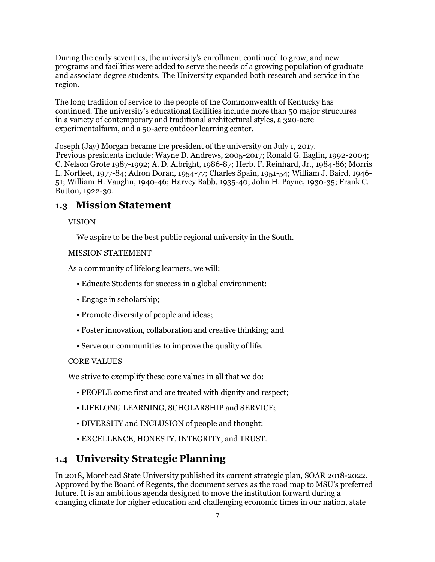During the early seventies, the university's enrollment continued to grow, and new programs and facilities were added to serve the needs of a growing population of graduate and associate degree students. The University expanded both research and service in the region.

The long tradition of service to the people of the Commonwealth of Kentucky has continued. The university's educational facilities include more than 50 major structures in a variety of contemporary and traditional architectural styles, a 320-acre experimentalfarm, and a 50-acre outdoor learning center.

Joseph (Jay) Morgan became the president of the university on July 1, 2017. Previous presidents include: Wayne D. Andrews, 2005-2017; Ronald G. Eaglin, 1992-2004; C. Nelson Grote 1987-1992; A. D. Albright, 1986-87; Herb. F. Reinhard, Jr., 1984-86; Morris L. Norfleet, 1977-84; Adron Doran, 1954-77; Charles Spain, 1951-54; William J. Baird, 1946- 51; William H. Vaughn, 1940-46; Harvey Babb, 1935-40; John H. Payne, 1930-35; Frank C. Button, 1922-30.

#### <span id="page-6-0"></span>**1.3 Mission Statement**

#### VISION

We aspire to be the best public regional university in the South.

#### MISSION STATEMENT

As a community of lifelong learners, we will:

- Educate Students for success in a global environment;
- Engage in scholarship;
- Promote diversity of people and ideas;
- Foster innovation, collaboration and creative thinking; and
- Serve our communities to improve the quality of life.

#### CORE VALUES

We strive to exemplify these core values in all that we do:

- PEOPLE come first and are treated with dignity and respect;
- LIFELONG LEARNING, SCHOLARSHIP and SERVICE;
- DIVERSITY and INCLUSION of people and thought;
- EXCELLENCE, HONESTY, INTEGRITY, and TRUST.

#### <span id="page-6-1"></span>**1.4 University Strategic Planning**

In 2018, Morehead State University published its current strategic plan, SOAR 2018-2022. Approved by the Board of Regents, the document serves as the road map to MSU's preferred future. It is an ambitious agenda designed to move the institution forward during a changing climate for higher education and challenging economic times in our nation, state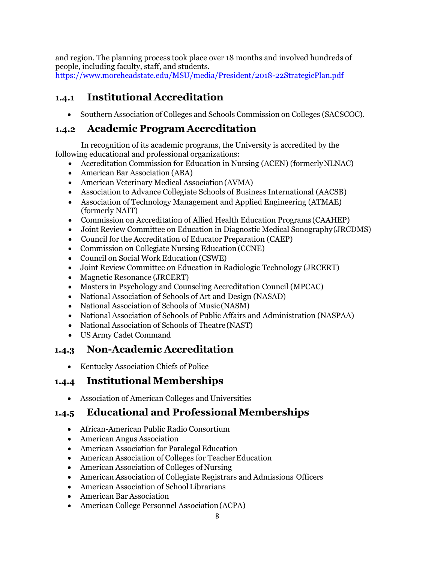and region. The planning process took place over 18 months and involved hundreds of people, including faculty, staff, and students.

<https://www.moreheadstate.edu/MSU/media/President/2018-22StrategicPlan.pdf>

## <span id="page-7-0"></span>**1.4.1 Institutional Accreditation**

• Southern Association of Colleges and Schools Commission on Colleges (SACSCOC).

## <span id="page-7-1"></span>**1.4.2 Academic Program Accreditation**

In recognition of its academic programs, the University is accredited by the following educational and professional organizations:

- Accreditation Commission for Education in Nursing (ACEN) (formerlyNLNAC)
- American Bar Association (ABA)
- American Veterinary Medical Association(AVMA)
- Association to Advance Collegiate Schools of Business International (AACSB)
- Association of Technology Management and Applied Engineering (ATMAE) (formerly NAIT)
- Commission on Accreditation of Allied Health Education Programs (CAAHEP)
- Joint Review Committee on Education in Diagnostic Medical Sonography(JRCDMS)
- Council for the Accreditation of Educator Preparation (CAEP)
- Commission on Collegiate Nursing Education (CCNE)
- Council on Social Work Education (CSWE)
- Joint Review Committee on Education in Radiologic Technology (JRCERT)
- Magnetic Resonance (JRCERT)
- Masters in Psychology and Counseling Accreditation Council (MPCAC)
- National Association of Schools of Art and Design (NASAD)
- National Association of Schools of Music (NASM)
- National Association of Schools of Public Affairs and Administration (NASPAA)
- National Association of Schools of Theatre(NAST)
- US Army Cadet Command

## <span id="page-7-2"></span>**1.4.3 Non-Academic Accreditation**

• Kentucky Association Chiefs of Police

## <span id="page-7-3"></span>**1.4.4 Institutional Memberships**

• Association of American Colleges and Universities

## <span id="page-7-4"></span>**1.4.5 Educational and Professional Memberships**

- African-American Public Radio Consortium
- American Angus Association
- American Association for Paralegal Education
- American Association of Colleges for Teacher Education
- American Association of Colleges of Nursing
- American Association of Collegiate Registrars and Admissions Officers
- American Association of School Librarians
- American Bar Association
- American College Personnel Association(ACPA)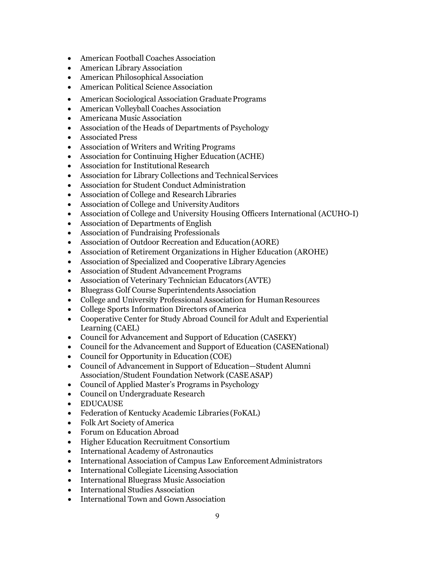- American Football Coaches Association
- American Library Association
- American Philosophical Association
- American Political Science Association
- American Sociological Association Graduate Programs
- American Volleyball Coaches Association
- Americana Music Association
- Association of the Heads of Departments of Psychology
- Associated Press
- Association of Writers and Writing Programs
- Association for Continuing Higher Education (ACHE)
- Association for Institutional Research
- Association for Library Collections and Technical Services
- Association for Student Conduct Administration
- Association of College and Research Libraries
- Association of College and University Auditors
- Association of College and University Housing Officers International (ACUHO-I)
- Association of Departments of English
- Association of Fundraising Professionals
- Association of Outdoor Recreation and Education(AORE)
- Association of Retirement Organizations in Higher Education (AROHE)
- Association of Specialized and Cooperative Library Agencies
- Association of Student Advancement Programs
- Association of Veterinary Technician Educators (AVTE)
- Bluegrass Golf Course Superintendents Association
- College and University Professional Association for HumanResources
- College Sports Information Directors of America
- Cooperative Center for Study Abroad Council for Adult and Experiential Learning (CAEL)
- Council for Advancement and Support of Education (CASEKY)
- Council for the Advancement and Support of Education (CASENational)
- Council for Opportunity in Education (COE)
- Council of Advancement in Support of Education—Student Alumni Association/Student Foundation Network (CASEASAP)
- Council of Applied Master's Programs in Psychology
- Council on Undergraduate Research
- EDUCAUSE
- Federation of Kentucky Academic Libraries (FoKAL)
- Folk Art Society of America
- Forum on Education Abroad
- Higher Education Recruitment Consortium
- International Academy of Astronautics
- International Association of Campus Law Enforcement Administrators
- International Collegiate Licensing Association
- International Bluegrass Music Association
- International Studies Association
- International Town and Gown Association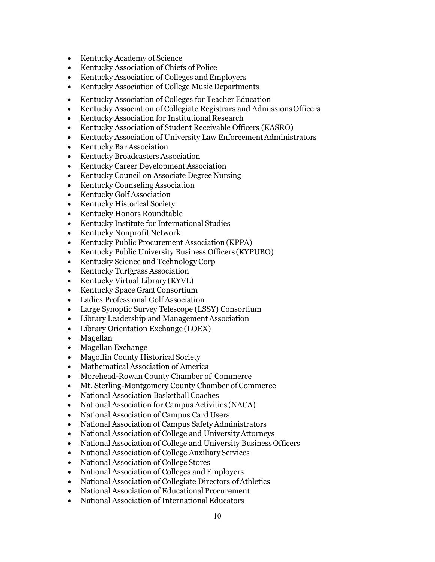- Kentucky Academy of Science
- Kentucky Association of Chiefs of Police
- Kentucky Association of Colleges and Employers
- Kentucky Association of College Music Departments
- Kentucky Association of Colleges for Teacher Education
- Kentucky Association of Collegiate Registrars and AdmissionsOfficers
- Kentucky Association for Institutional Research
- Kentucky Association of Student Receivable Officers (KASRO)
- Kentucky Association of University Law Enforcement Administrators
- Kentucky Bar Association
- Kentucky Broadcasters Association
- Kentucky Career Development Association
- Kentucky Council on Associate Degree Nursing
- Kentucky Counseling Association
- Kentucky Golf Association
- Kentucky Historical Society
- Kentucky Honors Roundtable
- Kentucky Institute for International Studies
- Kentucky Nonprofit Network
- Kentucky Public Procurement Association(KPPA)
- Kentucky Public University Business Officers (KYPUBO)
- Kentucky Science and Technology Corp
- Kentucky Turfgrass Association
- Kentucky Virtual Library (KYVL)
- Kentucky Space Grant Consortium
- Ladies Professional Golf Association
- Large Synoptic Survey Telescope (LSSY) Consortium
- Library Leadership and Management Association
- Library Orientation Exchange (LOEX)
- Magellan
- Magellan Exchange
- Magoffin County Historical Society
- Mathematical Association of America
- Morehead-Rowan County Chamber of Commerce
- Mt. Sterling-Montgomery County Chamber of Commerce
- National Association Basketball Coaches
- National Association for Campus Activities (NACA)
- National Association of Campus Card Users
- National Association of Campus Safety Administrators
- National Association of College and UniversityAttorneys
- National Association of College and University Business Officers
- National Association of College Auxiliary Services
- National Association of College Stores
- National Association of Colleges and Employers
- National Association of Collegiate Directors of Athletics
- National Association of Educational Procurement
- National Association of International Educators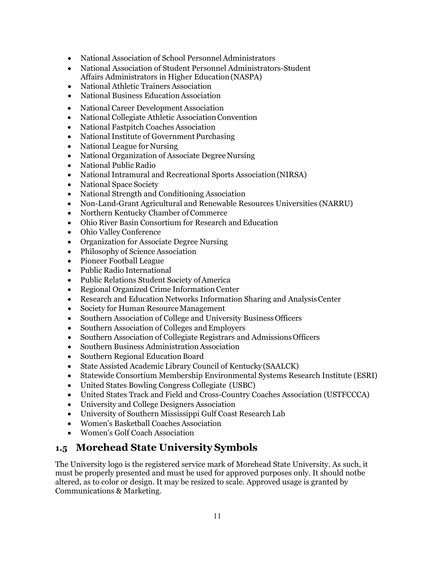- National Association of School Personnel Administrators
- National Association of Student Personnel Administrators-Student Affairs Administrators in Higher Education(NASPA)
- National Athletic Trainers Association
- **National Business Education Association**
- National Career Development Association
- National Collegiate Athletic Association Convention
- National Fastpitch Coaches Association
- National Institute of Government Purchasing
- National League for Nursing
- National Organization of Associate Degree Nursing
- National Public Radio
- National Intramural and Recreational Sports Association(NIRSA)
- National Space Society
- National Strength and Conditioning Association
- Non-Land-Grant Agricultural and Renewable Resources Universities (NARRU)
- Northern Kentucky Chamber of Commerce
- Ohio River Basin Consortium for Research and Education
- Ohio Valley Conference
- Organization for Associate Degree Nursing
- Philosophy of Science Association
- Pioneer Football League
- Public Radio International
- Public Relations Student Society of America
- Regional Organized Crime Information Center
- Research and Education Networks Information Sharing and Analysis Center
- Society for Human Resource Management
- Southern Association of College and University BusinessOfficers
- Southern Association of Colleges and Employers
- Southern Association of Collegiate Registrars and Admissions Officers
- Southern Business Administration Association
- Southern Regional Education Board
- State Assisted Academic Library Council of Kentucky (SAALCK)
- Statewide Consortium Membership Environmental Systems Research Institute (ESRI)
- United States Bowling Congress Collegiate (USBC)
- United States Track and Field and Cross-Country Coaches Association (USTFCCCA)
- University and College Designers Association
- University of Southern Mississippi Gulf Coast Research Lab
- Women's Basketball Coaches Association
- Women's Golf Coach Association

## <span id="page-10-0"></span>**1.5 Morehead State University Symbols**

The University logo is the registered service mark of Morehead State University. As such, it must be properly presented and must be used for approved purposes only. It should notbe altered, as to color or design. It may be resized to scale. Approved usage is granted by Communications & Marketing.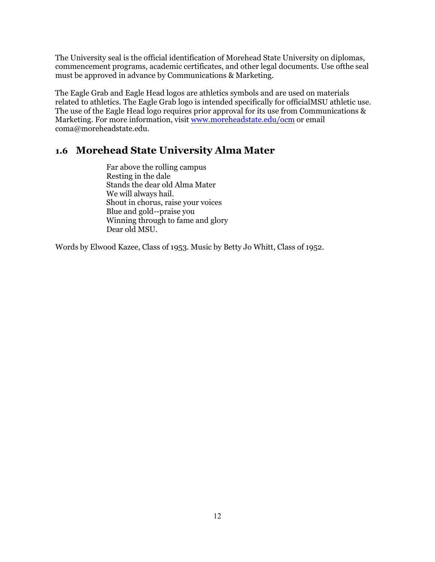The University seal is the official identification of Morehead State University on diplomas, commencement programs, academic certificates, and other legal documents. Use ofthe seal must be approved in advance by Communications & Marketing.

The Eagle Grab and Eagle Head logos are athletics symbols and are used on materials related to athletics. The Eagle Grab logo is intended specifically for officialMSU athletic use. The use of the Eagle Head logo requires prior approval for its use from Communications & Marketing. For more information, visit [www.moreheadstate.edu/ocm](http://www.moreheadstate.edu/ocm) or email [coma@moreheadstate.edu.](mailto:coma@moreheadstate.edu)

#### <span id="page-11-0"></span>**1.6 Morehead State University Alma Mater**

Far above the rolling campus Resting in the dale Stands the dear old Alma Mater We will always hail. Shout in chorus, raise your voices Blue and gold--praise you Winning through to fame and glory Dear old MSU.

Words by Elwood Kazee, Class of 1953. Music by Betty Jo Whitt, Class of 1952.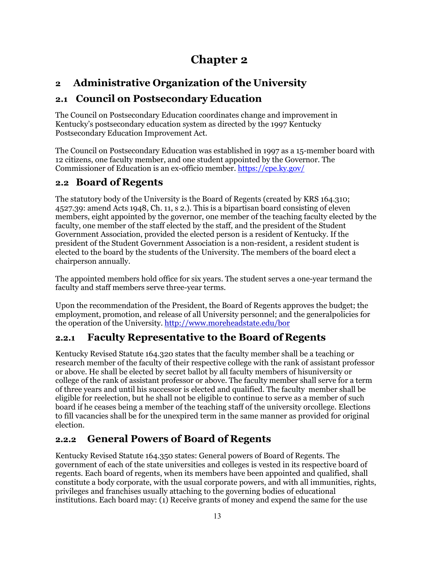# **Chapter 2**

# <span id="page-12-1"></span><span id="page-12-0"></span>**2 Administrative Organization of the University**

## <span id="page-12-2"></span>**2.1 Council on Postsecondary Education**

The Council on Postsecondary Education coordinates change and improvement in Kentucky's postsecondary education system as directed by the 1997 Kentucky Postsecondary Education Improvement Act.

The Council on Postsecondary Education was established in 1997 as a 15-member board with 12 citizens, one faculty member, and one student appointed by the Governor. The Commissioner of Education is an ex-officio member. <https://cpe.ky.gov/>

## <span id="page-12-3"></span>**2.2 Board of Regents**

The statutory body of the University is the Board of Regents (created by KRS 164.310; 4527.39: amend Acts 1948, Ch. 11, s 2.). This is a bipartisan board consisting of eleven members, eight appointed by the governor, one member of the teaching faculty elected by the faculty, one member of the staff elected by the staff, and the president of the Student Government Association, provided the elected person is a resident of Kentucky. If the president of the Student Government Association is a non-resident, a resident student is elected to the board by the students of the University. The members of the board elect a chairperson annually.

The appointed members hold office for six years. The student serves a one-year termand the faculty and staff members serve three-year terms.

Upon the recommendation of the President, the Board of Regents approves the budget; the employment, promotion, and release of all University personnel; and the generalpolicies for the operation of the University. <http://www.moreheadstate.edu/bor>

## <span id="page-12-4"></span>**2.2.1 Faculty Representative to the Board of Regents**

Kentucky Revised Statute 164.320 states that the faculty member shall be a teaching or research member of the faculty of their respective college with the rank of assistant professor or above. He shall be elected by secret ballot by all faculty members of hisuniversity or college of the rank of assistant professor or above. The faculty member shall serve for a term of three years and until his successor is elected and qualified. The faculty member shall be eligible for reelection, but he shall not be eligible to continue to serve as a member of such board if he ceases being a member of the teaching staff of the university orcollege. Elections to fill vacancies shall be for the unexpired term in the same manner as provided for original election.

## <span id="page-12-5"></span>**2.2.2 General Powers of Board of Regents**

Kentucky Revised Statute 164.350 states: General powers of Board of Regents. The government of each of the state universities and colleges is vested in its respective board of regents. Each board of regents, when its members have been appointed and qualified, shall constitute a body corporate, with the usual corporate powers, and with all immunities, rights, privileges and franchises usually attaching to the governing bodies of educational institutions. Each board may: (1) Receive grants of money and expend the same for the use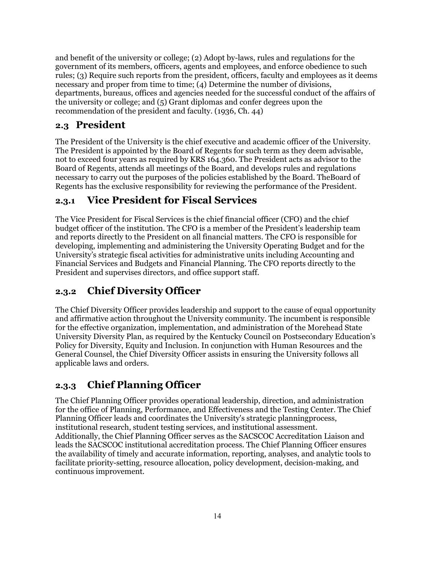and benefit of the university or college; (2) Adopt by-laws, rules and regulations for the government of its members, officers, agents and employees, and enforce obedience to such rules; (3) Require such reports from the president, officers, faculty and employees as it deems necessary and proper from time to time; (4) Determine the number of divisions, departments, bureaus, offices and agencies needed for the successful conduct of the affairs of the university or college; and (5) Grant diplomas and confer degrees upon the recommendation of the president and faculty. (1936, Ch. 44)

#### <span id="page-13-0"></span>**2.3 President**

The President of the University is the chief executive and academic officer of the University. The President is appointed by the Board of Regents for such term as they deem advisable, not to exceed four years as required by KRS 164.360. The President acts as advisor to the Board of Regents, attends all meetings of the Board, and develops rules and regulations necessary to carry out the purposes of the policies established by the Board. TheBoard of Regents has the exclusive responsibility for reviewing the performance of the President.

#### <span id="page-13-1"></span>**2.3.1 Vice President for Fiscal Services**

The Vice President for Fiscal Services is the chief financial officer (CFO) and the chief budget officer of the institution. The CFO is a member of the President's leadership team and reports directly to the President on all financial matters. The CFO is responsible for developing, implementing and administering the University Operating Budget and for the University's strategic fiscal activities for administrative units including Accounting and Financial Services and Budgets and Financial Planning. The CFO reports directly to the President and supervises directors, and office support staff.

#### <span id="page-13-2"></span>**2.3.2 Chief Diversity Officer**

The Chief Diversity Officer provides leadership and support to the cause of equal opportunity and affirmative action throughout the University community. The incumbent is responsible for the effective organization, implementation, and administration of the Morehead State University Diversity Plan, as required by the Kentucky Council on Postsecondary Education's Policy for Diversity, Equity and Inclusion. In conjunction with Human Resources and the General Counsel, the Chief Diversity Officer assists in ensuring the University follows all applicable laws and orders.

## <span id="page-13-3"></span>**2.3.3 Chief Planning Officer**

The Chief Planning Officer provides operational leadership, direction, and administration for the office of Planning, Performance, and Effectiveness and the Testing Center. The Chief Planning Officer leads and coordinates the University's strategic planningprocess, institutional research, student testing services, and institutional assessment. Additionally, the Chief Planning Officer serves as the SACSCOC Accreditation Liaison and leads the SACSCOC institutional accreditation process. The Chief Planning Officer ensures the availability of timely and accurate information, reporting, analyses, and analytic tools to facilitate priority-setting, resource allocation, policy development, decision-making, and continuous improvement.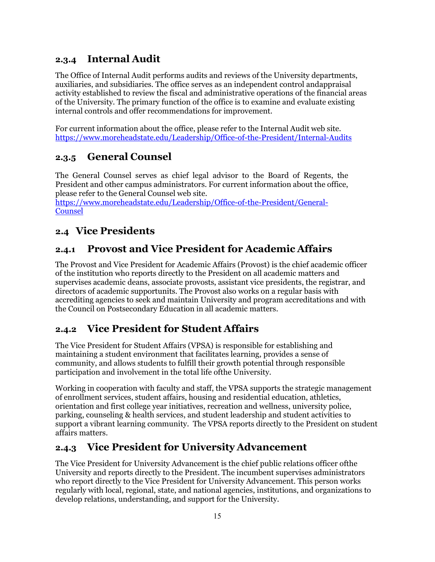## <span id="page-14-0"></span>**2.3.4 Internal Audit**

The Office of Internal Audit performs audits and reviews of the University departments, auxiliaries, and subsidiaries. The office serves as an independent control andappraisal activity established to review the fiscal and administrative operations of the financial areas of the University. The primary function of the office is to examine and evaluate existing internal controls and offer recommendations for improvement.

For current information about the office, please refer to the [Internal](http://www.moreheadstate.edu/audit/) Audit web site. <https://www.moreheadstate.edu/Leadership/Office-of-the-President/Internal-Audits>

## <span id="page-14-1"></span>**2.3.5 General Counsel**

The General Counsel serves as chief legal advisor to the Board of Regents, the President and other campus administrators. For current information about the office, please refer to the General [Counsel](http://www.moreheadstate.edu/content_template.aspx?id=2147486810) web site.

[https://www.moreheadstate.edu/Leadership/Office-of-the-President/General-](https://www.moreheadstate.edu/Leadership/Office-of-the-President/General-Counsel)**Counsel** 

## <span id="page-14-2"></span>**2.4 Vice Presidents**

#### <span id="page-14-3"></span>**2.4.1 Provost and Vice President for Academic Affairs**

The Provost and Vice President for Academic Affairs (Provost) is the chief academic officer of the institution who reports directly to the President on all academic matters and supervises academic deans, associate provosts, assistant vice presidents, the registrar, and directors of academic supportunits. The Provost also works on a regular basis with accrediting agencies to seek and maintain University and program accreditations and with the Council on Postsecondary Education in all academic matters.

## <span id="page-14-4"></span>**2.4.2 Vice President for Student Affairs**

The Vice President for Student Affairs (VPSA) is responsible for establishing and maintaining a student environment that facilitates learning, provides a sense of community, and allows students to fulfill their growth potential through responsible participation and involvement in the total life ofthe University.

Working in cooperation with faculty and staff, the VPSA supports the strategic management of enrollment services, student affairs, housing and residential education, athletics, orientation and first college year initiatives, recreation and wellness, university police, parking, counseling & health services, and student leadership and student activities to support a vibrant learning community. The VPSA reports directly to the President on student affairs matters.

#### <span id="page-14-5"></span>**2.4.3 Vice President for University Advancement**

The Vice President for University Advancement is the chief public relations officer ofthe University and reports directly to the President. The incumbent supervises administrators who report directly to the Vice President for University Advancement. This person works regularly with local, regional, state, and national agencies, institutions, and organizations to develop relations, understanding, and support for the University.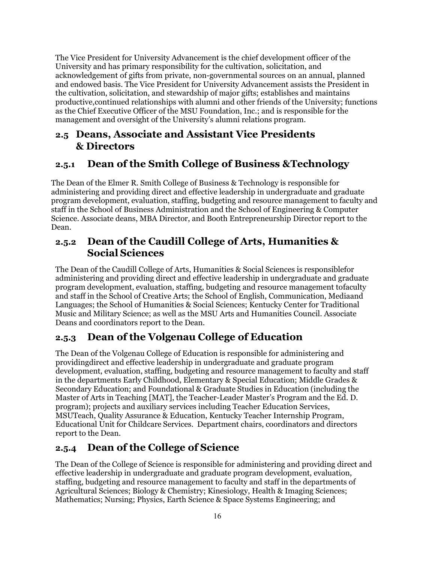The Vice President for University Advancement is the chief development officer of the University and has primary responsibility for the cultivation, solicitation, and acknowledgement of gifts from private, non-governmental sources on an annual, planned and endowed basis. The Vice President for University Advancement assists the President in the cultivation, solicitation, and stewardship of major gifts; establishes and maintains productive,continued relationships with alumni and other friends of the University; functions as the Chief Executive Officer of the MSU Foundation, Inc.; and is responsible for the management and oversight of the University's alumni relations program.

## <span id="page-15-0"></span>**2.5 Deans, Associate and Assistant Vice Presidents & Directors**

## <span id="page-15-1"></span>**2.5.1 Dean of the Smith College of Business &Technology**

The Dean of the Elmer R. Smith College of Business & Technology is responsible for administering and providing direct and effective leadership in undergraduate and graduate program development, evaluation, staffing, budgeting and resource management to faculty and staff in the School of Business Administration and the School of Engineering & Computer Science. Associate deans, MBA Director, and Booth Entrepreneurship Director report to the Dean.

## <span id="page-15-2"></span>**2.5.2 Dean of the Caudill College of Arts, Humanities & Social Sciences**

The Dean of the Caudill College of Arts, Humanities & Social Sciences is responsiblefor administering and providing direct and effective leadership in undergraduate and graduate program development, evaluation, staffing, budgeting and resource management tofaculty and staff in the School of Creative Arts; the School of English, Communication, Mediaand Languages; the School of Humanities & Social Sciences; Kentucky Center for Traditional Music and Military Science; as well as the MSU Arts and Humanities Council. Associate Deans and coordinators report to the Dean.

## <span id="page-15-3"></span>**2.5.3 Dean of the Volgenau College of Education**

The Dean of the Volgenau College of Education is responsible for administering and providingdirect and effective leadership in undergraduate and graduate program development, evaluation, staffing, budgeting and resource management to faculty and staff in the departments Early Childhood, Elementary & Special Education; Middle Grades & Secondary Education; and Foundational & Graduate Studies in Education (including the Master of Arts in Teaching [MAT], the Teacher-Leader Master's Program and the Ed. D. program); projects and auxiliary services including Teacher Education Services, MSUTeach, Quality Assurance & Education, Kentucky Teacher Internship Program, Educational Unit for Childcare Services. Department chairs, coordinators and directors report to the Dean.

#### <span id="page-15-4"></span>**2.5.4 Dean of the College of Science**

The Dean of the College of Science is responsible for administering and providing direct and effective leadership in undergraduate and graduate program development, evaluation, staffing, budgeting and resource management to faculty and staff in the departments of Agricultural Sciences; Biology & Chemistry; Kinesiology, Health & Imaging Sciences; Mathematics; Nursing; Physics, Earth Science & Space Systems Engineering; and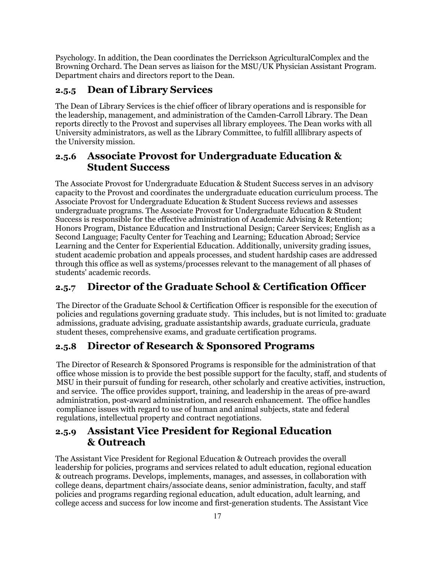Psychology. In addition, the Dean coordinates the Derrickson AgriculturalComplex and the Browning Orchard. The Dean serves as liaison for the MSU/UK Physician Assistant Program. Department chairs and directors report to the Dean.

#### <span id="page-16-0"></span>**2.5.5 Dean of Library Services**

The Dean of Library Services is the chief officer of library operations and is responsible for the leadership, management, and administration of the Camden-Carroll Library. The Dean reports directly to the Provost and supervises all library employees. The Dean works with all University administrators, as well as the Library Committee, to fulfill alllibrary aspects of the University mission.

#### <span id="page-16-1"></span>**2.5.6 Associate Provost for Undergraduate Education & Student Success**

The Associate Provost for Undergraduate Education & Student Success serves in an advisory capacity to the Provost and coordinates the undergraduate education curriculum process. The Associate Provost for Undergraduate Education & Student Success reviews and assesses undergraduate programs. The Associate Provost for Undergraduate Education & Student Success is responsible for the effective administration of Academic Advising & Retention; Honors Program, Distance Education and Instructional Design; Career Services; English as a Second Language; Faculty Center for Teaching and Learning; Education Abroad; Service Learning and the Center for Experiential Education. Additionally, university grading issues, student academic probation and appeals processes, and student hardship cases are addressed through this office as well as systems/processes relevant to the management of all phases of students' academic records.

## <span id="page-16-2"></span>**2.5.7 Director of the Graduate School & Certification Officer**

The Director of the Graduate School & Certification Officer is responsible for the execution of policies and regulations governing graduate study. This includes, but is not limited to: graduate admissions, graduate advising, graduate assistantship awards, graduate curricula, graduate student theses, comprehensive exams, and graduate certification programs.

## <span id="page-16-3"></span>**2.5.8 Director of Research & Sponsored Programs**

The Director of Research & Sponsored Programs is responsible for the administration of that office whose mission is to provide the best possible support for the faculty, staff, and students of MSU in their pursuit of funding for research, other scholarly and creative activities, instruction, and service. The office provides support, training, and leadership in the areas of pre-award administration, post-award administration, and research enhancement. The office handles compliance issues with regard to use of human and animal subjects, state and federal regulations, intellectual property and contract negotiations.

## <span id="page-16-4"></span>**2.5.9 Assistant Vice President for Regional Education & Outreach**

The Assistant Vice President for Regional Education & Outreach provides the overall leadership for policies, programs and services related to adult education, regional education & outreach programs. Develops, implements, manages, and assesses, in collaboration with college deans, department chairs/associate deans, senior administration, faculty, and staff policies and programs regarding regional education, adult education, adult learning, and college access and success for low income and first-generation students. The Assistant Vice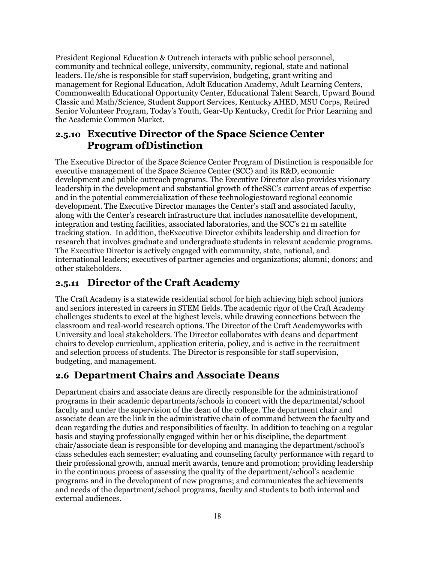President Regional Education & Outreach interacts with public school personnel, community and technical college, university, community, regional, state and national leaders. He/she is responsible for staff supervision, budgeting, grant writing and management for Regional Education, Adult Education Academy, Adult Learning Centers, Commonwealth Educational Opportunity Center, Educational Talent Search, Upward Bound Classic and Math/Science, Student Support Services, Kentucky AHED, MSU Corps, Retired Senior Volunteer Program, Today's Youth, Gear-Up Kentucky, Credit for Prior Learning and the Academic Common Market.

#### <span id="page-17-0"></span>**2.5.10 Executive Director of the Space Science Center Program ofDistinction**

The Executive Director of the Space Science Center Program of Distinction is responsible for executive management of the Space Science Center (SCC) and its R&D, economic development and public outreach programs. The Executive Director also provides visionary leadership in the development and substantial growth of theSSC's current areas of expertise and in the potential commercialization of these technologiestoward regional economic development. The Executive Director manages the Center's staff and associated faculty, along with the Center's research infrastructure that includes nanosatellite development, integration and testing facilities, associated laboratories, and the SCC's 21 m satellite tracking station. In addition, theExecutive Director exhibits leadership and direction for research that involves graduate and undergraduate students in relevant academic programs. The Executive Director is actively engaged with community, state, national, and international leaders; executives of partner agencies and organizations; alumni; donors; and other stakeholders.

#### <span id="page-17-1"></span>**2.5.11 Director of the Craft Academy**

The Craft Academy is a statewide residential school for high achieving high school juniors and seniors interested in careers in STEM fields. The academic rigor of the Craft Academy challenges students to excel at the highest levels, while drawing connections between the classroom and real-world research options. The Director of the Craft Academyworks with University and local stakeholders. The Director collaborates with deans and department chairs to develop curriculum, application criteria, policy, and is active in the recruitment and selection process of students. The Director is responsible for staff supervision, budgeting, and management.

#### <span id="page-17-2"></span>**2.6 Department Chairs and Associate Deans**

Department chairs and associate deans are directly responsible for the administrationof programs in their academic departments/schools in concert with the departmental/school faculty and under the supervision of the dean of the college. The department chair and associate dean are the link in the administrative chain of command between the faculty and dean regarding the duties and responsibilities of faculty. In addition to teaching on a regular basis and staying professionally engaged within her or his discipline, the department chair/associate dean is responsible for developing and managing the department/school's class schedules each semester; evaluating and counseling faculty performance with regard to their professional growth, annual merit awards, tenure and promotion; providing leadership in the continuous process of assessing the quality of the department/school's academic programs and in the development of new programs; and communicates the achievements and needs of the department/school programs, faculty and students to both internal and external audiences.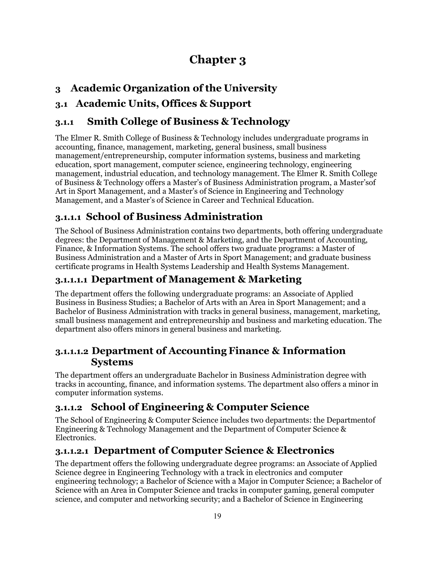# **Chapter 3**

## <span id="page-18-1"></span><span id="page-18-0"></span>**3 Academic Organization of the University**

## <span id="page-18-2"></span>**3.1 Academic Units, Offices & Support**

## <span id="page-18-3"></span>**3.1.1 Smith College of Business & Technology**

The Elmer R. Smith College of Business & Technology includes undergraduate programs in accounting, finance, management, marketing, general business, small business management/entrepreneurship, computer information systems, business and marketing education, sport management, computer science, engineering technology, engineering management, industrial education, and technology management. The Elmer R. Smith College of Business & Technology offers a Master's of Business Administration program, a Master'sof Art in Sport Management, and a Master's of Science in Engineering and Technology Management, and a Master's of Science in Career and Technical Education.

## <span id="page-18-4"></span>**3.1.1.1 School of Business Administration**

The School of Business Administration contains two departments, both offering undergraduate degrees: the Department of Management & Marketing, and the Department of Accounting, Finance, & Information Systems. The school offers two graduate programs: a Master of Business Administration and a Master of Arts in Sport Management; and graduate business certificate programs in Health Systems Leadership and Health Systems Management.

## <span id="page-18-5"></span>**3.1.1.1.1 Department of Management & Marketing**

The department offers the following undergraduate programs: an Associate of Applied Business in Business Studies; a Bachelor of Arts with an Area in Sport Management; and a Bachelor of Business Administration with tracks in general business, management, marketing, small business management and entrepreneurship and business and marketing education. The department also offers minors in general business and marketing.

## <span id="page-18-6"></span>**3.1.1.1.2 Department of Accounting Finance & Information Systems**

The department offers an undergraduate Bachelor in Business Administration degree with tracks in accounting, finance, and information systems. The department also offers a minor in computer information systems.

## <span id="page-18-7"></span>**3.1.1.2 School of Engineering & Computer Science**

The School of Engineering & Computer Science includes two departments: the Departmentof Engineering & Technology Management and the Department of Computer Science & Electronics.

## <span id="page-18-8"></span>**3.1.1.2.1 Department of Computer Science & Electronics**

The department offers the following undergraduate degree programs: an Associate of Applied Science degree in Engineering Technology with a track in electronics and computer engineering technology; a Bachelor of Science with a Major in Computer Science; a Bachelor of Science with an Area in Computer Science and tracks in computer gaming, general computer science, and computer and networking security; and a Bachelor of Science in Engineering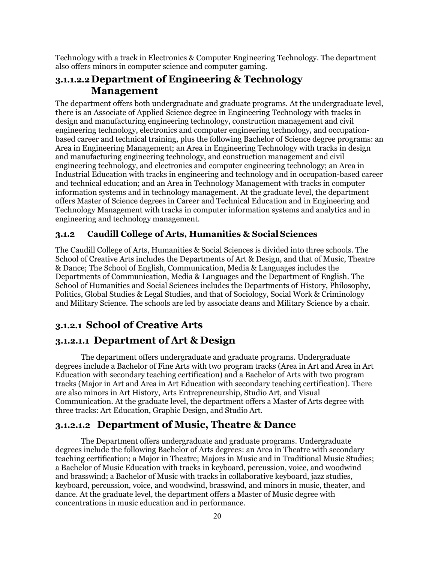Technology with a track in Electronics & Computer Engineering Technology. The department also offers minors in computer science and computer gaming.

#### <span id="page-19-0"></span>**3.1.1.2.2 Department of Engineering & Technology Management**

The department offers both undergraduate and graduate programs. At the undergraduate level, there is an Associate of Applied Science degree in Engineering Technology with tracks in design and manufacturing engineering technology, construction management and civil engineering technology, electronics and computer engineering technology, and occupationbased career and technical training, plus the following Bachelor of Science degree programs: an Area in Engineering Management; an Area in Engineering Technology with tracks in design and manufacturing engineering technology, and construction management and civil engineering technology, and electronics and computer engineering technology; an Area in Industrial Education with tracks in engineering and technology and in occupation-based career and technical education; and an Area in Technology Management with tracks in computer information systems and in technology management. At the graduate level, the department offers Master of Science degrees in Career and Technical Education and in Engineering and Technology Management with tracks in computer information systems and analytics and in engineering and technology management.

#### <span id="page-19-1"></span>**3.1.2 Caudill College of Arts, Humanities & Social Sciences**

The Caudill College of Arts, Humanities & Social Sciences is divided into three schools. The School of Creative Arts includes the Departments of Art & Design, and that of Music, Theatre & Dance; The School of English, Communication, Media & Languages includes the Departments of Communication, Media & Languages and the Department of English. The School of Humanities and Social Sciences includes the Departments of History, Philosophy, Politics, Global Studies & Legal Studies, and that of Sociology, Social Work & Criminology and Military Science. The schools are led by associate deans and Military Science by a chair.

#### <span id="page-19-2"></span>**3.1.2.1 School of Creative Arts**

#### <span id="page-19-3"></span>**3.1.2.1.1 Department of Art & Design**

The department offers undergraduate and graduate programs. Undergraduate degrees include a Bachelor of Fine Arts with two program tracks (Area in Art and Area in Art Education with secondary teaching certification) and a Bachelor of Arts with two program tracks (Major in Art and Area in Art Education with secondary teaching certification). There are also minors in Art History, Arts Entrepreneurship, Studio Art, and Visual Communication. At the graduate level, the department offers a Master of Arts degree with three tracks: Art Education, Graphic Design, and Studio Art.

#### <span id="page-19-4"></span>**3.1.2.1.2 Department of Music, Theatre & Dance**

The Department offers undergraduate and graduate programs. Undergraduate degrees include the following Bachelor of Arts degrees: an Area in Theatre with secondary teaching certification; a Major in Theatre; Majors in Music and in Traditional Music Studies; a Bachelor of Music Education with tracks in keyboard, percussion, voice, and woodwind and brasswind; a Bachelor of Music with tracks in collaborative keyboard, jazz studies, keyboard, percussion, voice, and woodwind, brasswind, and minors in music, theater, and dance. At the graduate level, the department offers a Master of Music degree with concentrations in music education and in performance.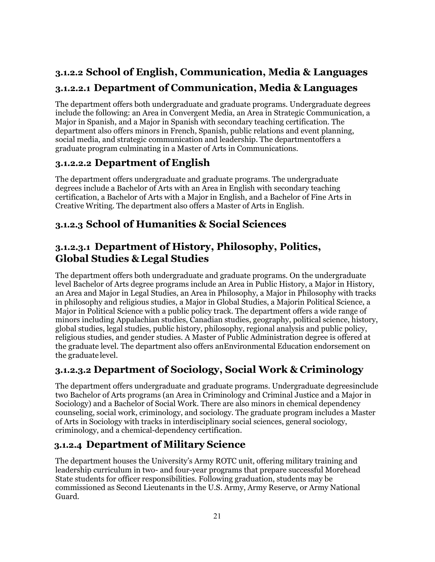# <span id="page-20-1"></span><span id="page-20-0"></span>**3.1.2.2 School of English, Communication, Media & Languages 3.1.2.2.1 Department of Communication, Media & Languages**

The department offers both undergraduate and graduate programs. Undergraduate degrees include the following: an Area in Convergent Media, an Area in Strategic Communication, a Major in Spanish, and a Major in Spanish with secondary teaching certification. The department also offers minors in French, Spanish, public relations and event planning, social media, and strategic communication and leadership. The departmentoffers a graduate program culminating in a Master of Arts in Communications.

## <span id="page-20-2"></span>**3.1.2.2.2 Department of English**

The department offers undergraduate and graduate programs. The undergraduate degrees include a Bachelor of Arts with an Area in English with secondary teaching certification, a Bachelor of Arts with a Major in English, and a Bachelor of Fine Arts in Creative Writing. The department also offers a Master of Arts in English.

## <span id="page-20-3"></span>**3.1.2.3 School of Humanities & Social Sciences**

## <span id="page-20-4"></span>**3.1.2.3.1 Department of History, Philosophy, Politics, Global Studies &Legal Studies**

The department offers both undergraduate and graduate programs. On the undergraduate level Bachelor of Arts degree programs include an Area in Public History, a Major in History, an Area and Major in Legal Studies, an Area in Philosophy, a Major in Philosophy with tracks in philosophy and religious studies, a Major in Global Studies, a Majorin Political Science, a Major in Political Science with a public policy track. The department offers a wide range of minors including Appalachian studies, Canadian studies, geography, political science, history, global studies, legal studies, public history, philosophy, regional analysis and public policy, religious studies, and gender studies. A Master of Public Administration degree is offered at the graduate level. The department also offers anEnvironmental Education endorsement on the graduate level.

## <span id="page-20-5"></span>**3.1.2.3.2 Department of Sociology, Social Work & Criminology**

The department offers undergraduate and graduate programs. Undergraduate degreesinclude two Bachelor of Arts programs (an Area in Criminology and Criminal Justice and a Major in Sociology) and a Bachelor of Social Work. There are also minors in chemical dependency counseling, social work, criminology, and sociology. The graduate program includes a Master of Arts in Sociology with tracks in interdisciplinary social sciences, general sociology, criminology, and a chemical-dependency certification.

## <span id="page-20-6"></span>**3.1.2.4 Department of Military Science**

The department houses the University's Army ROTC unit, offering military training and leadership curriculum in two- and four-year programs that prepare successful Morehead State students for officer responsibilities. Following graduation, students may be commissioned as Second Lieutenants in the U.S. Army, Army Reserve, or Army National Guard.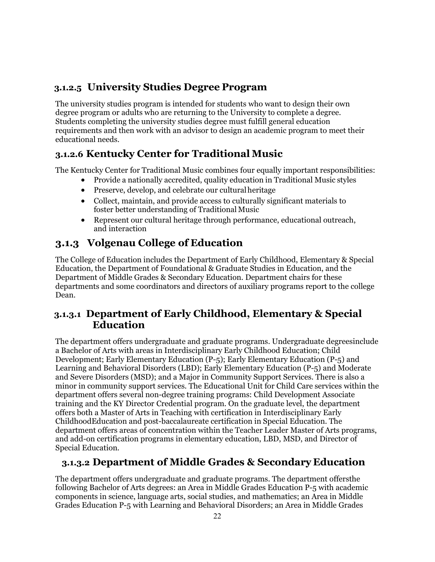## <span id="page-21-0"></span>**3.1.2.5 University Studies Degree Program**

The university studies program is intended for students who want to design their own degree program or adults who are returning to the University to complete a degree. Students completing the university studies degree must fulfill general education requirements and then work with an advisor to design an academic program to meet their educational needs.

## <span id="page-21-1"></span>**3.1.2.6 Kentucky Center for Traditional Music**

The Kentucky Center for Traditional Music combines four equally important responsibilities:

- Provide a nationally accredited, quality education in Traditional Music styles
- Preserve, develop, and celebrate our cultural heritage
- Collect, maintain, and provide access to culturally significant materials to foster better understanding of Traditional Music
- Represent our cultural heritage through performance, educational outreach, and interaction

# <span id="page-21-2"></span>**3.1.3 Volgenau College of Education**

The College of Education includes the Department of Early Childhood, Elementary & Special Education, the Department of Foundational & Graduate Studies in Education, and the Department of Middle Grades & Secondary Education. Department chairs for these departments and some coordinators and directors of auxiliary programs report to the college Dean.

#### <span id="page-21-3"></span>**3.1.3.1 Department of Early Childhood, Elementary & Special Education**

The department offers undergraduate and graduate programs. Undergraduate degreesinclude a Bachelor of Arts with areas in Interdisciplinary Early Childhood Education; Child Development; Early Elementary Education (P-5); Early Elementary Education (P-5) and Learning and Behavioral Disorders (LBD); Early Elementary Education (P-5) and Moderate and Severe Disorders (MSD); and a Major in Community Support Services. There is also a minor in community support services. The Educational Unit for Child Care services within the department offers several non-degree training programs: Child Development Associate training and the KY Director Credential program. On the graduate level, the department offers both a Master of Arts in Teaching with certification in Interdisciplinary Early ChildhoodEducation and post-baccalaureate certification in Special Education. The department offers areas of concentration within the Teacher Leader Master of Arts programs, and add-on certification programs in elementary education, LBD, MSD, and Director of Special Education.

## <span id="page-21-4"></span>**3.1.3.2 Department of Middle Grades & Secondary Education**

The department offers undergraduate and graduate programs. The department offersthe following Bachelor of Arts degrees: an Area in Middle Grades Education P-5 with academic components in science, language arts, social studies, and mathematics; an Area in Middle Grades Education P-5 with Learning and Behavioral Disorders; an Area in Middle Grades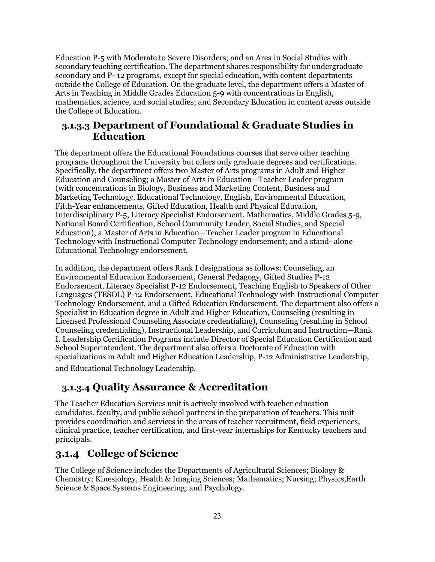Education P-5 with Moderate to Severe Disorders; and an Area in Social Studies with secondary teaching certification. The department shares responsibility for undergraduate secondary and P- 12 programs, except for special education, with content departments outside the College of Education. On the graduate level, the department offers a Master of Arts in Teaching in Middle Grades Education 5-9 with concentrations in English, mathematics, science, and social studies; and Secondary Education in content areas outside the College of Education.

#### <span id="page-22-0"></span>**3.1.3.3 Department of Foundational & Graduate Studies in Education**

The department offers the Educational Foundations courses that serve other teaching programs throughout the University but offers only graduate degrees and certifications. Specifically, the department offers two Master of Arts programs in Adult and Higher Education and Counseling; a Master of Arts in Education—Teacher Leader program (with concentrations in Biology, Business and Marketing Content, Business and Marketing Technology, Educational Technology, English, Environmental Education, Fifth-Year enhancements, Gifted Education, Health and Physical Education, Interdisciplinary P-5, Literacy Specialist Endorsement, Mathematics, Middle Grades 5-9, National Board Certification, School Community Leader, Social Studies, and Special Education); a Master of Arts in Education—Teacher Leader program in Educational Technology with Instructional Computer Technology endorsement; and a stand- alone Educational Technology endorsement.

In addition, the department offers Rank I designations as follows: Counseling, an Environmental Education Endorsement, General Pedagogy, Gifted Studies P-12 Endorsement, Literacy Specialist P-12 Endorsement, Teaching English to Speakers of Other Languages (TESOL) P-12 Endorsement, Educational Technology with Instructional Computer Technology Endorsement, and a Gifted Education Endorsement. The department also offers a Specialist in Education degree in Adult and Higher Education, Counseling (resulting in Licensed Professional Counseling Associate credentialing), Counseling (resulting in School Counseling credentialing), Instructional Leadership, and Curriculum and Instruction—Rank I. Leadership Certification Programs include Director of Special Education Certification and School Superintendent. The department also offers a Doctorate of Education with specializations in Adult and Higher Education Leadership, P-12 Administrative Leadership, and Educational Technology Leadership.

#### <span id="page-22-1"></span>**3.1.3.4 Quality Assurance & Accreditation**

The Teacher Education Services unit is actively involved with teacher education candidates, faculty, and public school partners in the preparation of teachers. This unit provides coordination and services in the areas of teacher recruitment, field experiences, clinical practice, teacher certification, and first-year internships for Kentucky teachers and principals.

## <span id="page-22-2"></span>**3.1.4 College of Science**

The College of Science includes the Departments of Agricultural Sciences; Biology & Chemistry; Kinesiology, Health & Imaging Sciences; Mathematics; Nursing; Physics,Earth Science & Space Systems Engineering; and Psychology.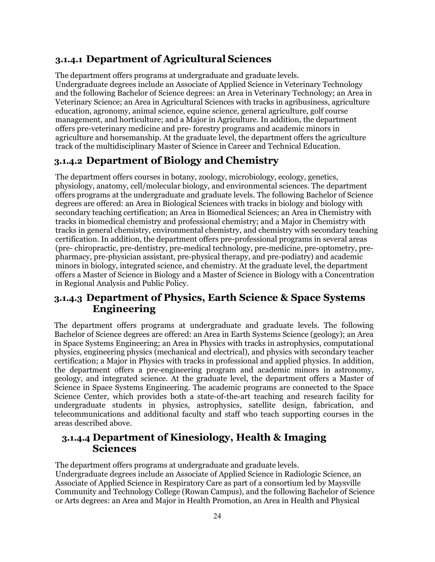#### <span id="page-23-0"></span>**3.1.4.1 Department of Agricultural Sciences**

The department offers programs at undergraduate and graduate levels. Undergraduate degrees include an Associate of Applied Science in Veterinary Technology and the following Bachelor of Science degrees: an Area in Veterinary Technology; an Area in Veterinary Science; an Area in Agricultural Sciences with tracks in agribusiness, agriculture education, agronomy, animal science, equine science, general agriculture, golf course management, and horticulture; and a Major in Agriculture. In addition, the department offers pre-veterinary medicine and pre- forestry programs and academic minors in agriculture and horsemanship. At the graduate level, the department offers the agriculture track of the multidisciplinary Master of Science in Career and Technical Education.

#### <span id="page-23-1"></span>**3.1.4.2 Department of Biology and Chemistry**

The department offers courses in botany, zoology, microbiology, ecology, genetics, physiology, anatomy, cell/molecular biology, and environmental sciences. The department offers programs at the undergraduate and graduate levels. The following Bachelor of Science degrees are offered: an Area in Biological Sciences with tracks in biology and biology with secondary teaching certification; an Area in Biomedical Sciences; an Area in Chemistry with tracks in biomedical chemistry and professional chemistry; and a Major in Chemistry with tracks in general chemistry, environmental chemistry, and chemistry with secondary teaching certification. In addition, the department offers pre-professional programs in several areas (pre- chiropractic, pre-dentistry, pre-medical technology, pre-medicine, pre-optometry, prepharmacy, pre-physician assistant, pre-physical therapy, and pre-podiatry) and academic minors in biology, integrated science, and chemistry. At the graduate level, the department offers a Master of Science in Biology and a Master of Science in Biology with a Concentration in Regional Analysis and Public Policy.

#### <span id="page-23-2"></span>**3.1.4.3 Department of Physics, Earth Science & Space Systems Engineering**

The department offers programs at undergraduate and graduate levels. The following Bachelor of Science degrees are offered: an Area in Earth Systems Science (geology); an Area in Space Systems Engineering; an Area in Physics with tracks in astrophysics, computational physics, engineering physics (mechanical and electrical), and physics with secondary teacher certification; a Major in Physics with tracks in professional and applied physics. In addition, the department offers a pre-engineering program and academic minors in astronomy, geology, and integrated science. At the graduate level, the department offers a Master of Science in Space Systems Engineering. The academic programs are connected to the Space Science Center, which provides both a state-of-the-art teaching and research facility for undergraduate students in physics, astrophysics, satellite design, fabrication, and telecommunications and additional faculty and staff who teach supporting courses in the areas described above.

#### <span id="page-23-3"></span>**3.1.4.4 Department of Kinesiology, Health & Imaging Sciences**

The department offers programs at undergraduate and graduate levels.

Undergraduate degrees include an Associate of Applied Science in Radiologic Science, an Associate of Applied Science in Respiratory Care as part of a consortium led by Maysville Community and Technology College (Rowan Campus), and the following Bachelor of Science or Arts degrees: an Area and Major in Health Promotion, an Area in Health and Physical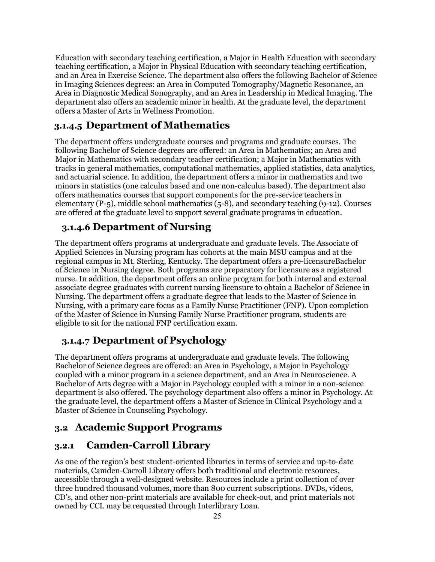Education with secondary teaching certification, a Major in Health Education with secondary teaching certification, a Major in Physical Education with secondary teaching certification, and an Area in Exercise Science. The department also offers the following Bachelor of Science in Imaging Sciences degrees: an Area in Computed Tomography/Magnetic Resonance, an Area in Diagnostic Medical Sonography, and an Area in Leadership in Medical Imaging. The department also offers an academic minor in health. At the graduate level, the department offers a Master of Arts in Wellness Promotion.

## <span id="page-24-0"></span>**3.1.4.5 Department of Mathematics**

The department offers undergraduate courses and programs and graduate courses. The following Bachelor of Science degrees are offered: an Area in Mathematics; an Area and Major in Mathematics with secondary teacher certification; a Major in Mathematics with tracks in general mathematics, computational mathematics, applied statistics, data analytics, and actuarial science. In addition, the department offers a minor in mathematics and two minors in statistics (one calculus based and one non-calculus based). The department also offers mathematics courses that support components for the pre-service teachers in elementary (P-5), middle school mathematics (5-8), and secondary teaching (9-12). Courses are offered at the graduate level to support several graduate programs in education.

#### <span id="page-24-1"></span>**3.1.4.6 Department of Nursing**

The department offers programs at undergraduate and graduate levels. The Associate of Applied Sciences in Nursing program has cohorts at the main MSU campus and at the regional campus in Mt. Sterling, Kentucky. The department offers a pre-licensureBachelor of Science in Nursing degree. Both programs are preparatory for licensure as a registered nurse. In addition, the department offers an online program for both internal and external associate degree graduates with current nursing licensure to obtain a Bachelor of Science in Nursing. The department offers a graduate degree that leads to the Master of Science in Nursing, with a primary care focus as a Family Nurse Practitioner (FNP). Upon completion of the Master of Science in Nursing Family Nurse Practitioner program, students are eligible to sit for the national FNP certification exam.

## <span id="page-24-2"></span>**3.1.4.7 Department of Psychology**

The department offers programs at undergraduate and graduate levels. The following Bachelor of Science degrees are offered: an Area in Psychology, a Major in Psychology coupled with a minor program in a science department, and an Area in Neuroscience. A Bachelor of Arts degree with a Major in Psychology coupled with a minor in a non-science department is also offered. The psychology department also offers a minor in Psychology. At the graduate level, the department offers a Master of Science in Clinical Psychology and a Master of Science in Counseling Psychology.

#### <span id="page-24-3"></span>**3.2 Academic Support Programs**

#### <span id="page-24-4"></span>**3.2.1 Camden-Carroll Library**

As one of the region's best student-oriented libraries in terms of service and up-to-date materials, Camden-Carroll Library offers both traditional and electronic resources, accessible through a well-designed website. Resources include a print collection of over three hundred thousand volumes, more than 800 current subscriptions. DVDs, videos, CD's, and other non-print materials are available for check-out, and print materials not owned by CCL may be requested through Interlibrary Loan.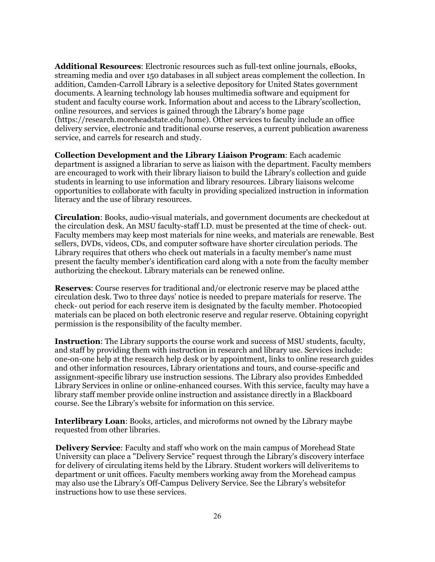**Additional Resources**: Electronic resources such as full-text online journals, eBooks, streaming media and over 150 databases in all subject areas complement the collection. In addition, Camden-Carroll Library is a selective depository for United States government documents. A learning technology lab houses multimedia software and equipment for student and faculty course work. Information about and access to the Library'scollection, online resources, and services is gained through the Library's home page [\(https://research.moreheadstate.edu/home\). O](http://www.moreheadstate.edu/library))ther services to faculty include an office delivery service, electronic and traditional course reserves, a current publication awareness service, and carrels for research and study.

**Collection Development and the Library Liaison Program**: Each academic department is assigned a librarian to serve as liaison with the department. Faculty members are encouraged to work with their library liaison to build the Library's collection and guide students in learning to use information and library resources. Library liaisons welcome opportunities to collaborate with faculty in providing specialized instruction in information literacy and the use of library resources.

**Circulation**: Books, audio-visual materials, and government documents are checkedout at the circulation desk. An MSU faculty-staff I.D. must be presented at the time of check- out. Faculty members may keep most materials for nine weeks, and materials are renewable. Best sellers, DVDs, videos, CDs, and computer software have shorter circulation periods. The Library requires that others who check out materials in a faculty member's name must present the faculty member's identification card along with a note from the faculty member authorizing the checkout. Library materials can be renewed online.

**Reserves**: Course reserves for traditional and/or electronic reserve may be placed atthe circulation desk. Two to three days' notice is needed to prepare materials for reserve. The check- out period for each reserve item is designated by the faculty member. Photocopied materials can be placed on both electronic reserve and regular reserve. Obtaining copyright permission is the responsibility of the faculty member.

**Instruction**: The Library supports the course work and success of MSU students, faculty, and staff by providing them with instruction in research and library use. Services include: one-on-one help at the research help desk or by appointment, links to online research guides and other information resources, Library orientations and tours, and course-specific and assignment-specific library use instruction sessions. The Library also provides Embedded Library Services in online or online-enhanced courses. With this service, faculty may have a library staff member provide online instruction and assistance directly in a Blackboard course. See the Library's website for information on this service.

**Interlibrary Loan**: Books, articles, and microforms not owned by the Library maybe requested from other libraries.

**Delivery Service**: Faculty and staff who work on the main campus of Morehead State University can place a "Delivery Service" request through the Library's discovery interface for delivery of circulating items held by the Library. Student workers will deliveritems to department or unit offices. Faculty members working away from the Morehead campus may also use the Library's Off-Campus Delivery Service. See the Library's websitefor instructions how to use these services.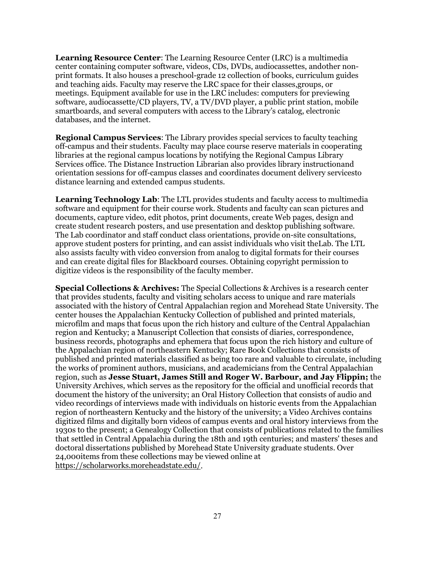**Learning Resource Center**: The Learning Resource Center (LRC) is a multimedia center containing computer software, videos, CDs, DVDs, audiocassettes, andother nonprint formats. It also houses a preschool-grade 12 collection of books, curriculum guides and teaching aids. Faculty may reserve the LRC space for their classes,groups, or meetings. Equipment available for use in the LRC includes: computers for previewing software, audiocassette/CD players, TV, a TV/DVD player, a public print station, mobile smartboards, and several computers with access to the Library's catalog, electronic databases, and the internet.

**Regional Campus Services**: The Library provides special services to faculty teaching off-campus and their students. Faculty may place course reserve materials in cooperating libraries at the regional campus locations by notifying the Regional Campus Library Services office. The Distance Instruction Librarian also provides library instructionand orientation sessions for off-campus classes and coordinates document delivery servicesto distance learning and extended campus students.

**Learning Technology Lab**: The LTL provides students and faculty access to multimedia software and equipment for their course work. Students and faculty can scan pictures and documents, capture video, edit photos, print documents, create Web pages, design and create student research posters, and use presentation and desktop publishing software. The Lab coordinator and staff conduct class orientations, provide on-site consultations, approve student posters for printing, and can assist individuals who visit theLab. The LTL also assists faculty with video conversion from analog to digital formats for their courses and can create digital files for Blackboard courses. Obtaining copyright permission to digitize videos is the responsibility of the faculty member.

**Special Collections & Archives:** The Special Collections & Archives is a research center that provides students, faculty and visiting scholars access to unique and rare materials associated with the history of Central Appalachian region and Morehead State University. The center houses the Appalachian Kentucky Collection of published and printed materials, microfilm and maps that focus upon the rich history and culture of the Central Appalachian region and Kentucky; a Manuscript Collection that consists of diaries, correspondence, business records, photographs and ephemera that focus upon the rich history and culture of the Appalachian region of northeastern Kentucky; Rare Book Collections that consists of published and printed materials classified as being too rare and valuable to circulate, including the works of prominent authors, musicians, and academicians from the Central Appalachian region, such as **Jesse Stuart, James Still and Roger W. Barbour, and Jay Flippin;** the University Archives, which serves as the repository for the official and unofficial records that document the history of the university; an Oral History Collection that consists of audio and video recordings of interviews made with individuals on historic events from the Appalachian region of northeastern Kentucky and the history of the university; a Video Archives contains digitized films and digitally born videos of campus events and oral history interviews from the 1930s to the present; a Genealogy Collection that consists of publications related to the families that settled in Central Appalachia during the 18th and 19th centuries; and masters' theses and doctoral dissertations published by Morehead State University graduate students. Over 24,000items from these collections may be viewed online at [https://scholarworks.moreheadstate.edu/.](https://scholarworks.moreheadstate.edu/)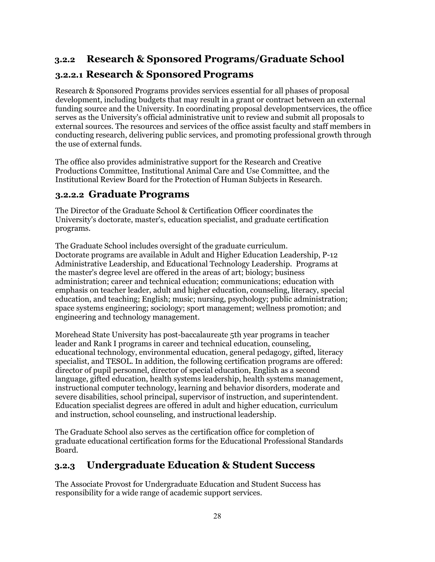## <span id="page-27-0"></span>**3.2.2 Research & Sponsored Programs/Graduate School**

## <span id="page-27-1"></span>**3.2.2.1 Research & Sponsored Programs**

Research & Sponsored Programs provides services essential for all phases of proposal development, including budgets that may result in a grant or contract between an external funding source and the University. In coordinating proposal developmentservices, the office serves as the University's official administrative unit to review and submit all proposals to external sources. The resources and services of the office assist faculty and staff members in conducting research, delivering public services, and promoting professional growth through the use of external funds.

The office also provides administrative support for the Research and Creative Productions Committee, Institutional Animal Care and Use Committee, and the Institutional Review Board for the Protection of Human Subjects in Research.

#### <span id="page-27-2"></span>**3.2.2.2 Graduate Programs**

The Director of the Graduate School & Certification Officer coordinates the University's doctorate, master's, education specialist, and graduate certification programs.

The Graduate School includes oversight of the graduate curriculum. Doctorate programs are available in Adult and Higher Education Leadership, P-12 Administrative Leadership, and Educational Technology Leadership. Programs at the master's degree level are offered in the areas of art; biology; business administration; career and technical education; communications; education with emphasis on teacher leader, adult and higher education, counseling, literacy, special education, and teaching; English; music; nursing, psychology; public administration; space systems engineering; sociology; sport management; wellness promotion; and engineering and technology management.

Morehead State University has post-baccalaureate 5th year programs in teacher leader and Rank I programs in career and technical education, counseling, educational technology, environmental education, general pedagogy, gifted, literacy specialist, and TESOL. In addition, the following certification programs are offered: director of pupil personnel, director of special education, English as a second language, gifted education, health systems leadership, health systems management, instructional computer technology, learning and behavior disorders, moderate and severe disabilities, school principal, supervisor of instruction, and superintendent. Education specialist degrees are offered in adult and higher education, curriculum and instruction, school counseling, and instructional leadership.

The Graduate School also serves as the certification office for completion of graduate educational certification forms for the Educational Professional Standards Board.

## <span id="page-27-3"></span>**3.2.3 Undergraduate Education & Student Success**

The Associate Provost for Undergraduate Education and Student Success has responsibility for a wide range of academic support services.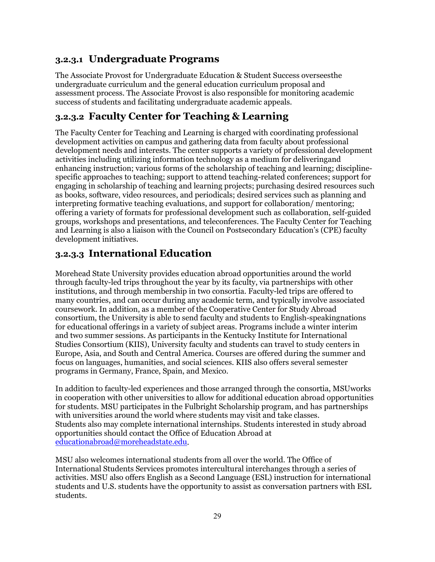#### <span id="page-28-0"></span>**3.2.3.1 Undergraduate Programs**

The Associate Provost for Undergraduate Education & Student Success overseesthe undergraduate curriculum and the general education curriculum proposal and assessment process. The Associate Provost is also responsible for monitoring academic success of students and facilitating undergraduate academic appeals.

## <span id="page-28-1"></span>**3.2.3.2 Faculty Center for Teaching & Learning**

The Faculty Center for Teaching and Learning is charged with coordinating professional development activities on campus and gathering data from faculty about professional development needs and interests. The center supports a variety of professional development activities including utilizing information technology as a medium for deliveringand enhancing instruction; various forms of the scholarship of teaching and learning; disciplinespecific approaches to teaching; support to attend teaching-related conferences; support for engaging in scholarship of teaching and learning projects; purchasing desired resources such as books, software, video resources, and periodicals; desired services such as planning and interpreting formative teaching evaluations, and support for collaboration/ mentoring; offering a variety of formats for professional development such as collaboration, self-guided groups, workshops and presentations, and teleconferences. The Faculty Center for Teaching and Learning is also a liaison with the Council on Postsecondary Education's (CPE) faculty development initiatives.

#### <span id="page-28-2"></span>**3.2.3.3 International Education**

Morehead State University provides education abroad opportunities around the world through faculty-led trips throughout the year by its faculty, via partnerships with other institutions, and through membership in two consortia. Faculty-led trips are offered to many countries, and can occur during any academic term, and typically involve associated coursework. In addition, as a member of the Cooperative Center for Study Abroad consortium, the University is able to send faculty and students to English-speakingnations for educational offerings in a variety of subject areas. Programs include a winter interim and two summer sessions. As participants in the Kentucky Institute for International Studies Consortium (KIIS), University faculty and students can travel to study centers in Europe, Asia, and South and Central America. Courses are offered during the summer and focus on languages, humanities, and social sciences. KIIS also offers several semester programs in Germany, France, Spain, and Mexico.

In addition to faculty-led experiences and those arranged through the consortia, MSUworks in cooperation with other universities to allow for additional education abroad opportunities for students. MSU participates in the Fulbright Scholarship program, and has partnerships with universities around the world where students may visit and take classes. Students also may complete international internships. Students interested in study abroad opportunities should contact the Office of Education Abroad at [educationabroad@moreheadstate.edu.](mailto:educationabroad@moreheadstate.edu)

MSU also welcomes international students from all over the world. The Office of International Students Services promotes intercultural interchanges through a series of activities. MSU also offers English as a Second Language (ESL) instruction for international students and U.S. students have the opportunity to assist as conversation partners with ESL students.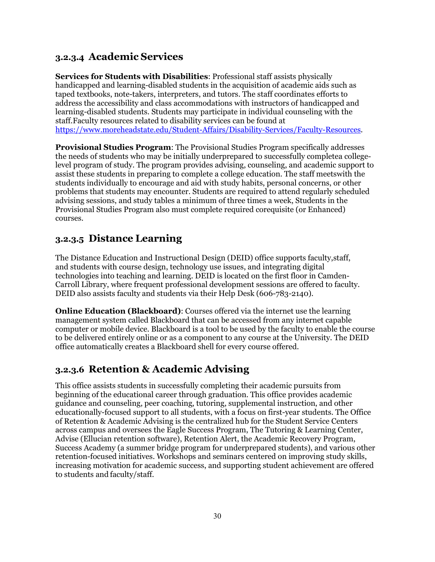#### <span id="page-29-0"></span>**3.2.3.4 Academic Services**

**Services for Students with Disabilities**: Professional staff assists physically handicapped and learning-disabled students in the acquisition of academic aids such as taped textbooks, note-takers, interpreters, and tutors. The staff coordinates efforts to address the accessibility and class accommodations with instructors of handicapped and learning-disabled students. Students may participate in individual counseling with the staff.Faculty resources related to disability services can be found at [https://www.moreheadstate.edu/Student-Affairs/Disability-Services/Faculty-Resources.](https://www.moreheadstate.edu/Student-Affairs/Disability-Services/Faculty-Resources)

**Provisional Studies Program**: The Provisional Studies Program specifically addresses the needs of students who may be initially underprepared to successfully completea collegelevel program of study. The program provides advising, counseling, and academic support to assist these students in preparing to complete a college education. The staff meetswith the students individually to encourage and aid with study habits, personal concerns, or other problems that students may encounter. Students are required to attend regularly scheduled advising sessions, and study tables a minimum of three times a week, Students in the Provisional Studies Program also must complete required corequisite (or Enhanced) courses.

#### <span id="page-29-1"></span>**3.2.3.5 Distance Learning**

The Distance Education and Instructional Design (DEID) office supports faculty,staff, and students with course design, technology use issues, and integrating digital technologies into teaching and learning. DEID is located on the first floor in Camden-Carroll Library, where frequent professional development sessions are offered to faculty. DEID also assists faculty and students via their Help Desk (606-783-2140).

**Online Education (Blackboard)**: Courses offered via the internet use the learning management system called Blackboard that can be accessed from any internet capable computer or mobile device. Blackboard is a tool to be used by the faculty to enable the course to be delivered entirely online or as a component to any course at the University. The DEID office automatically creates a Blackboard shell for every course offered.

#### <span id="page-29-2"></span>**3.2.3.6 Retention & Academic Advising**

This office assists students in successfully completing their academic pursuits from beginning of the educational career through graduation. This office provides academic guidance and counseling, peer coaching, tutoring, supplemental instruction, and other educationally-focused support to all students, with a focus on first-year students. The Office of Retention & Academic Advising is the centralized hub for the Student Service Centers across campus and oversees the Eagle Success Program, The Tutoring & Learning Center, Advise (Ellucian retention software), Retention Alert, the Academic Recovery Program, Success Academy (a summer bridge program for underprepared students), and various other retention-focused initiatives. Workshops and seminars centered on improving study skills, increasing motivation for academic success, and supporting student achievement are offered to students and faculty/staff.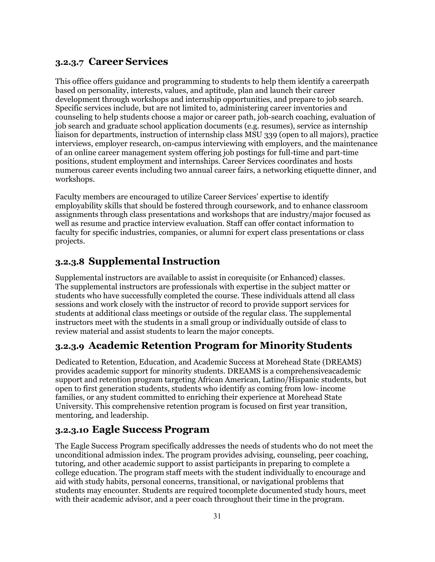#### <span id="page-30-0"></span>**3.2.3.7 Career Services**

This office offers guidance and programming to students to help them identify a careerpath based on personality, interests, values, and aptitude, plan and launch their career development through workshops and internship opportunities, and prepare to job search. Specific services include, but are not limited to, administering career inventories and counseling to help students choose a major or career path, job-search coaching, evaluation of job search and graduate school application documents (e.g. resumes), service as internship liaison for departments, instruction of internship class MSU 339 (open to all majors), practice interviews, employer research, on-campus interviewing with employers, and the maintenance of an online career management system offering job postings for full-time and part-time positions, student employment and internships. Career Services coordinates and hosts numerous career events including two annual career fairs, a networking etiquette dinner, and workshops.

Faculty members are encouraged to utilize Career Services' expertise to identify employability skills that should be fostered through coursework, and to enhance classroom assignments through class presentations and workshops that are industry/major focused as well as resume and practice interview evaluation. Staff can offer contact information to faculty for specific industries, companies, or alumni for expert class presentations or class projects.

## <span id="page-30-1"></span>**3.2.3.8 Supplemental Instruction**

Supplemental instructors are available to assist in corequisite (or Enhanced) classes. The supplemental instructors are professionals with expertise in the subject matter or students who have successfully completed the course. These individuals attend all class sessions and work closely with the instructor of record to provide support services for students at additional class meetings or outside of the regular class. The supplemental instructors meet with the students in a small group or individually outside of class to review material and assist students to learn the major concepts.

## <span id="page-30-2"></span>**3.2.3.9 Academic Retention Program for Minority Students**

Dedicated to Retention, Education, and Academic Success at Morehead State (DREAMS) provides academic support for minority students. DREAMS is a comprehensiveacademic support and retention program targeting African American, Latino/Hispanic students, but open to first generation students, students who identify as coming from low- income families, or any student committed to enriching their experience at Morehead State University. This comprehensive retention program is focused on first year transition, mentoring, and leadership.

## <span id="page-30-3"></span>**3.2.3.10 Eagle Success Program**

The Eagle Success Program specifically addresses the needs of students who do not meet the unconditional admission index. The program provides advising, counseling, peer coaching, tutoring, and other academic support to assist participants in preparing to complete a college education. The program staff meets with the student individually to encourage and aid with study habits, personal concerns, transitional, or navigational problems that students may encounter. Students are required tocomplete documented study hours, meet with their academic advisor, and a peer coach throughout their time in the program.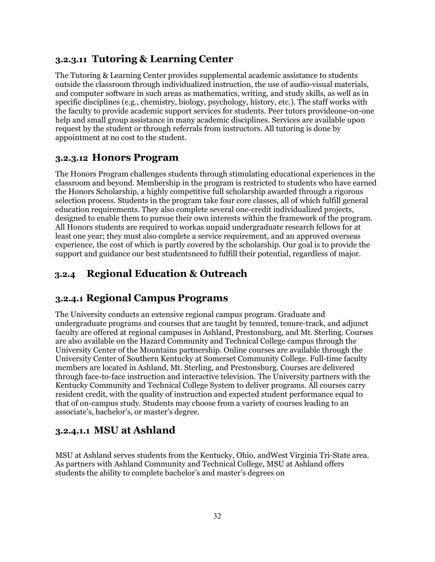#### <span id="page-31-0"></span>**3.2.3.11 Tutoring & Learning Center**

The Tutoring & Learning Center provides supplemental academic assistance to students outside the classroom through individualized instruction, the use of audio-visual materials, and computer software in such areas as mathematics, writing, and study skills, as well as in specific disciplines (e.g., chemistry, biology, psychology, history, etc.). The staff works with the faculty to provide academic support services for students. Peer tutors provideone-on-one help and small group assistance in many academic disciplines. Services are available upon request by the student or through referrals from instructors. All tutoring is done by appointment at no cost to the student.

#### <span id="page-31-1"></span>**3.2.3.12 Honors Program**

The Honors Program challenges students through stimulating educational experiences in the classroom and beyond. Membership in the program is restricted to students who have earned the Honors Scholarship, a highly competitive full scholarship awarded through a rigorous selection process. Students in the program take four core classes, all of which fulfill general education requirements. They also complete several one-credit individualized projects, designed to enable them to pursue their own interests within the framework of the program. All Honors students are required to workas unpaid undergraduate research fellows for at least one year; they must also complete a service requirement, and an approved overseas experience, the cost of which is partly covered by the scholarship. Our goal is to provide the support and guidance our best studentsneed to fulfill their potential, regardless of major.

## <span id="page-31-2"></span>**3.2.4 Regional Education & Outreach**

## <span id="page-31-3"></span>**3.2.4.1 Regional Campus Programs**

The University conducts an extensive regional campus program. Graduate and undergraduate programs and courses that are taught by tenured, tenure-track, and adjunct faculty are offered at regional campuses in Ashland, Prestonsburg, and Mt. Sterling. Courses are also available on the Hazard Community and Technical College campus through the University Center of the Mountains partnership. Online courses are available through the University Center of Southern Kentucky at Somerset Community College. Full-time faculty members are located in Ashland, Mt. Sterling, and Prestonsburg. Courses are delivered through face-to-face instruction and interactive television. The University partners with the Kentucky Community and Technical College System to deliver programs. All courses carry resident credit, with the quality of instruction and expected student performance equal to that of on-campus study. Students may choose from a variety of courses leading to an associate's, bachelor's, or master's degree.

## <span id="page-31-4"></span>**3.2.4.1.1 MSU at Ashland**

MSU at Ashland serves students from the Kentucky, Ohio, andWest Virginia Tri-State area. As partners with Ashland Community and Technical College, MSU at Ashland offers students the ability to complete bachelor's and master's degrees on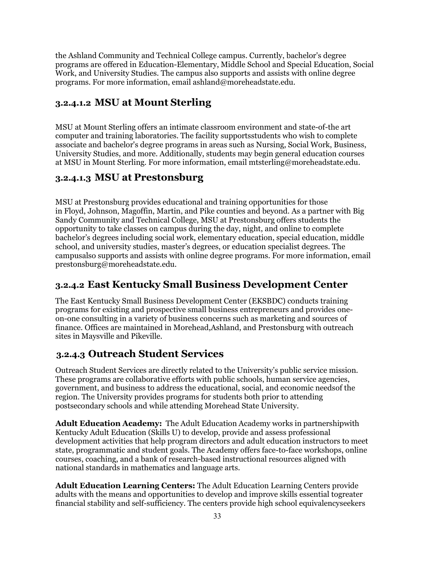the Ashland Community and Technical College campus. Currently, bachelor's degree programs are offered in Education-Elementary, Middle School and Special Education, Social Work, and University Studies. The campus also supports and assists with online degree programs. For more information, email [ashland@moreheadstate.edu.](mailto:ashland@moreheadstate.edu)

#### <span id="page-32-0"></span>**3.2.4.1.2 MSU at Mount Sterling**

MSU at Mount Sterling offers an intimate classroom environment and state-of-the art computer and training laboratories. The facility supportsstudents who wish to complete associate and bachelor's degree programs in areas such as Nursing, Social Work, Business, University Studies, and more. Additionally, students may begin general education courses at MSU in Mount Sterling. For more information, email [mtsterling@moreheadstate.edu.](mailto:mtsterling@moreheadstate.edu)

#### <span id="page-32-1"></span>**3.2.4.1.3 MSU at Prestonsburg**

MSU at Prestonsburg provides educational and training opportunities for those in Floyd, Johnson, Magoffin, Martin, and Pike counties and beyond. As a partner with Big Sandy Community and Technical College, MSU at Prestonsburg offers students the opportunity to take classes on campus during the day, night, and online to complete bachelor's degrees including social work, elementary education, special education, middle school, and university studies, master's degrees, or education specialist degrees. The campusalso supports and assists with online degree programs. For more information, email [prestonsburg@moreheadstate.edu.](mailto:prestonsburg@moreheadstate.edu)

## <span id="page-32-2"></span>**3.2.4.2 East Kentucky Small Business Development Center**

The East Kentucky Small Business Development Center (EKSBDC) conducts training programs for existing and prospective small business entrepreneurs and provides oneon-one consulting in a variety of business concerns such as marketing and sources of finance. Offices are maintained in Morehead,Ashland, and Prestonsburg with outreach sites in Maysville and Pikeville.

## <span id="page-32-3"></span>**3.2.4.3 Outreach Student Services**

Outreach Student Services are directly related to the University's public service mission. These programs are collaborative efforts with public schools, human service agencies, government, and business to address the educational, social, and economic needsof the region. The University provides programs for students both prior to attending postsecondary schools and while attending Morehead State University.

**Adult Education Academy:** The Adult Education Academy works in partnershipwith Kentucky Adult Education (Skills U) to develop, provide and assess professional development activities that help program directors and adult education instructors to meet state, programmatic and student goals. The Academy offers face-to-face workshops, online courses, coaching, and a bank of research-based instructional resources aligned with national standards in mathematics and language arts.

**Adult Education Learning Centers:** The Adult Education Learning Centers provide adults with the means and opportunities to develop and improve skills essential togreater financial stability and self-sufficiency. The centers provide high school equivalencyseekers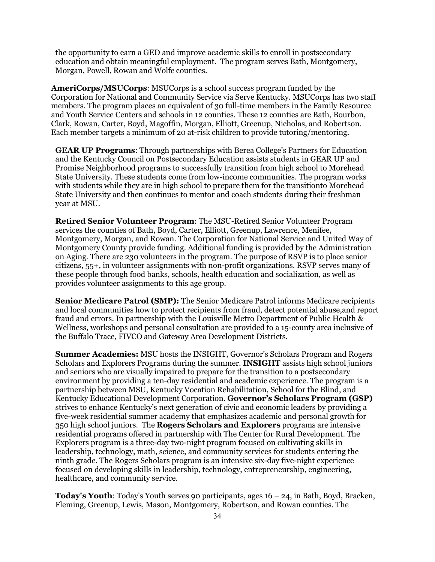the opportunity to earn a GED and improve academic skills to enroll in postsecondary education and obtain meaningful employment. The program serves Bath, Montgomery, Morgan, Powell, Rowan and Wolfe counties.

**AmeriCorps/MSUCorps**: MSUCorps is a school success program funded by the Corporation for National and Community Service via Serve Kentucky. MSUCorps has two staff members. The program places an equivalent of 30 full-time members in the Family Resource and Youth Service Centers and schools in 12 counties. These 12 counties are Bath, Bourbon, Clark, Rowan, Carter, Boyd, Magoffin, Morgan, Elliott, Greenup, Nicholas, and Robertson. Each member targets a minimum of 20 at-risk children to provide tutoring/mentoring.

**GEAR UP Programs**: Through partnerships with Berea College's Partners for Education and the Kentucky Council on Postsecondary Education assists students in GEAR UP and Promise Neighborhood programs to successfully transition from high school to Morehead State University. These students come from low-income communities. The program works with students while they are in high school to prepare them for the transitionto Morehead State University and then continues to mentor and coach students during their freshman year at MSU.

**Retired Senior Volunteer Program**: The MSU-Retired Senior Volunteer Program services the counties of Bath, Boyd, Carter, Elliott, Greenup, Lawrence, Menifee, Montgomery, Morgan, and Rowan. The Corporation for National Service and United Way of Montgomery County provide funding. Additional funding is provided by the Administration on Aging. There are 230 volunteers in the program. The purpose of RSVP is to place senior citizens, 55+, in volunteer assignments with non-profit organizations. RSVP serves many of these people through food banks, schools, health education and socialization, as well as provides volunteer assignments to this age group.

**Senior Medicare Patrol (SMP):** The Senior Medicare Patrol informs Medicare recipients and local communities how to protect recipients from fraud, detect potential abuse,and report fraud and errors. In partnership with the Louisville Metro Department of Public Health & Wellness, workshops and personal consultation are provided to a 15-county area inclusive of the Buffalo Trace, FIVCO and Gateway Area Development Districts.

**Summer Academies:** MSU hosts the INSIGHT, Governor's Scholars Program and Rogers Scholars and Explorers Programs during the summer. **INSIGHT** assists high school juniors and seniors who are visually impaired to prepare for the transition to a postsecondary environment by providing a ten-day residential and academic experience. The program is a partnership between MSU, Kentucky Vocation Rehabilitation, School for the Blind, and Kentucky Educational Development Corporation. **Governor's Scholars Program (GSP)** strives to enhance Kentucky's next generation of civic and economic leaders by providing a five-week residential summer academy that emphasizes academic and personal growth for 350 high school juniors. The **Rogers Scholars and Explorers** programs are intensive residential programs offered in partnership with The Center for Rural Development. The Explorers program is a three-day two-night program focused on cultivating skills in leadership, technology, math, science, and community services for students entering the ninth grade. The Rogers Scholars program is an intensive six-day five-night experience focused on developing skills in leadership, technology, entrepreneurship, engineering, healthcare, and community service.

**Today's Youth**: Today's Youth serves 90 participants, ages 16 – 24, in Bath, Boyd, Bracken, Fleming, Greenup, Lewis, Mason, Montgomery, Robertson, and Rowan counties. The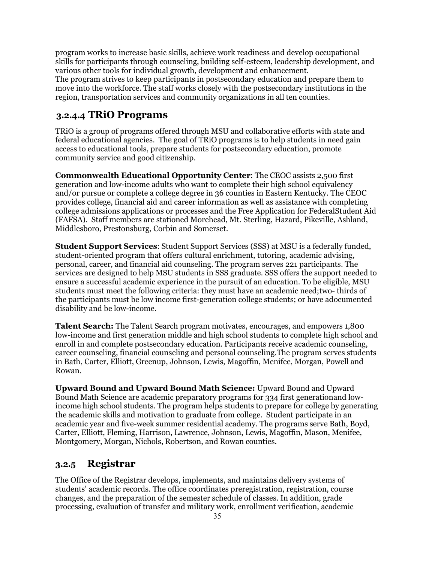program works to increase basic skills, achieve work readiness and develop occupational skills for participants through counseling, building self-esteem, leadership development, and various other tools for individual growth, development and enhancement. The program strives to keep participants in postsecondary education and prepare them to move into the workforce. The staff works closely with the postsecondary institutions in the region, transportation services and community organizations in all ten counties.

#### <span id="page-34-0"></span>**3.2.4.4 TRiO Programs**

TRiO is a group of programs offered through MSU and collaborative efforts with state and federal educational agencies. The goal of TRiO programs is to help students in need gain access to educational tools, prepare students for postsecondary education, promote community service and good citizenship.

**Commonwealth Educational Opportunity Center**: The CEOC assists 2,500 first generation and low-income adults who want to complete their high school equivalency and/or pursue or complete a college degree in 36 counties in Eastern Kentucky. The CEOC provides college, financial aid and career information as well as assistance with completing college admissions applications or processes and the Free Application for FederalStudent Aid (FAFSA). Staff members are stationed Morehead, Mt. Sterling, Hazard, Pikeville, Ashland, Middlesboro, Prestonsburg, Corbin and Somerset.

**Student Support Services**: Student Support Services (SSS) at MSU is a federally funded, student-oriented program that offers cultural enrichment, tutoring, academic advising, personal, career, and financial aid counseling. The program serves 221 participants. The services are designed to help MSU students in SSS graduate. SSS offers the support needed to ensure a successful academic experience in the pursuit of an education. To be eligible, MSU students must meet the following criteria: they must have an academic need;two- thirds of the participants must be low income first-generation college students; or have adocumented disability and be low-income.

**Talent Search:** The Talent Search program motivates, encourages, and empowers 1,800 low-income and first generation middle and high school students to complete high school and enroll in and complete postsecondary education. Participants receive academic counseling, career counseling, financial counseling and personal counseling.The program serves students in Bath, Carter, Elliott, Greenup, Johnson, Lewis, Magoffin, Menifee, Morgan, Powell and Rowan.

**Upward Bound and Upward Bound Math Science:** Upward Bound and Upward Bound Math Science are academic preparatory programs for 334 first generationand lowincome high school students. The program helps students to prepare for college by generating the academic skills and motivation to graduate from college. Student participate in an academic year and five-week summer residential academy. The programs serve Bath, Boyd, Carter, Elliott, Fleming, Harrison, Lawrence, Johnson, Lewis, Magoffin, Mason, Menifee, Montgomery, Morgan, Nichols, Robertson, and Rowan counties.

#### <span id="page-34-1"></span>**3.2.5 Registrar**

The Office of the Registrar develops, implements, and maintains delivery systems of students' academic records. The office coordinates preregistration, registration, course changes, and the preparation of the semester schedule of classes. In addition, grade processing, evaluation of transfer and military work, enrollment verification, academic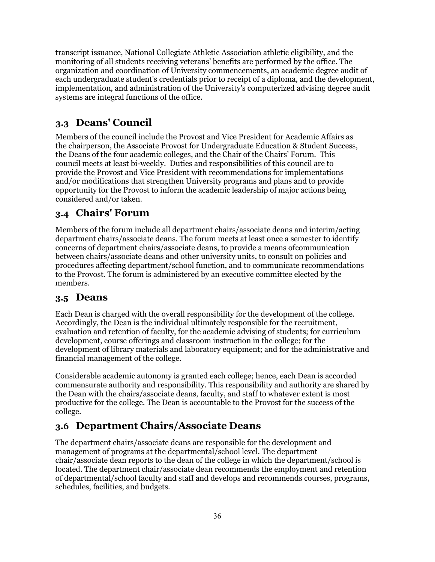transcript issuance, National Collegiate Athletic Association athletic eligibility, and the monitoring of all students receiving veterans' benefits are performed by the office. The organization and coordination of University commencements, an academic degree audit of each undergraduate student's credentials prior to receipt of a diploma, and the development, implementation, and administration of the University's computerized advising degree audit systems are integral functions of the office.

## <span id="page-35-0"></span>**3.3 Deans' Council**

Members of the council include the Provost and Vice President for Academic Affairs as the chairperson, the Associate Provost for Undergraduate Education & Student Success, the Deans of the four academic colleges, and the Chair of the Chairs' Forum. This council meets at least bi-weekly. Duties and responsibilities of this council are to provide the Provost and Vice President with recommendations for implementations and/or modifications that strengthen University programs and plans and to provide opportunity for the Provost to inform the academic leadership of major actions being considered and/or taken.

#### <span id="page-35-1"></span>**3.4 Chairs' Forum**

Members of the forum include all department chairs/associate deans and interim/acting department chairs/associate deans. The forum meets at least once a semester to identify concerns of department chairs/associate deans, to provide a means ofcommunication between chairs/associate deans and other university units, to consult on policies and procedures affecting department/school function, and to communicate recommendations to the Provost. The forum is administered by an executive committee elected by the members.

#### <span id="page-35-2"></span>**3.5 Deans**

Each Dean is charged with the overall responsibility for the development of the college. Accordingly, the Dean is the individual ultimately responsible for the recruitment, evaluation and retention of faculty, for the academic advising of students; for curriculum development, course offerings and classroom instruction in the college; for the development of library materials and laboratory equipment; and for the administrative and financial management of the college.

Considerable academic autonomy is granted each college; hence, each Dean is accorded commensurate authority and responsibility. This responsibility and authority are shared by the Dean with the chairs/associate deans, faculty, and staff to whatever extent is most productive for the college. The Dean is accountable to the Provost for the success of the college.

## <span id="page-35-3"></span>**3.6 Department Chairs/Associate Deans**

The department chairs/associate deans are responsible for the development and management of programs at the departmental/school level. The department chair/associate dean reports to the dean of the college in which the department/school is located. The department chair/associate dean recommends the employment and retention of departmental/school faculty and staff and develops and recommends courses, programs, schedules, facilities, and budgets.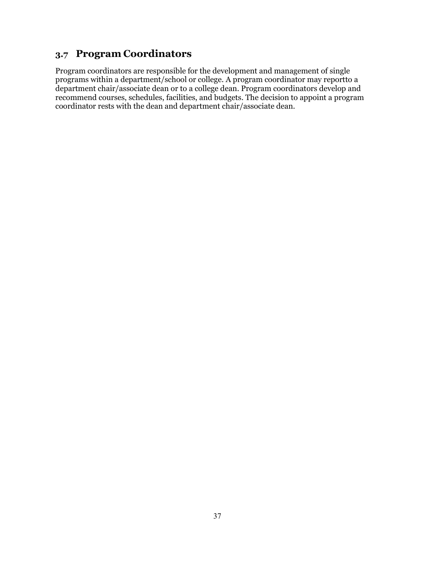## <span id="page-36-0"></span>**3.7 Program Coordinators**

Program coordinators are responsible for the development and management of single programs within a department/school or college. A program coordinator may reportto a department chair/associate dean or to a college dean. Program coordinators develop and recommend courses, schedules, facilities, and budgets. The decision to appoint a program coordinator rests with the dean and department chair/associate dean.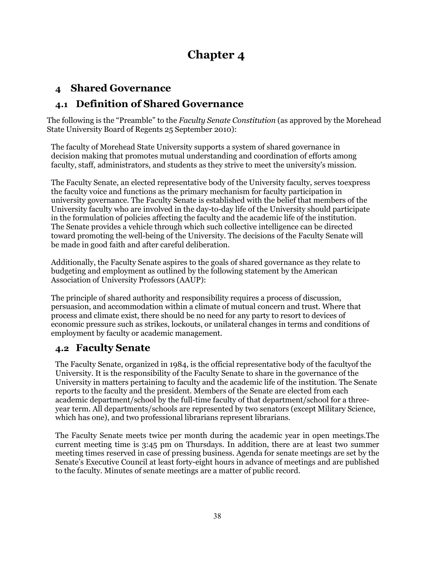# **Chapter 4**

## <span id="page-37-1"></span><span id="page-37-0"></span>**4 Shared Governance**

## <span id="page-37-2"></span>**4.1 Definition of Shared Governance**

The following is the "Preamble" to the *Faculty Senate Constitution* (as approved by the Morehead State University Board of Regents 25 September 2010):

The faculty of Morehead State University supports a system of shared governance in decision making that promotes mutual understanding and coordination of efforts among faculty, staff, administrators, and students as they strive to meet the university's mission.

The Faculty Senate, an elected representative body of the University faculty, serves toexpress the faculty voice and functions as the primary mechanism for faculty participation in university governance. The Faculty Senate is established with the belief that members of the University faculty who are involved in the day-to-day life of the University should participate in the formulation of policies affecting the faculty and the academic life of the institution. The Senate provides a vehicle through which such collective intelligence can be directed toward promoting the well-being of the University. The decisions of the Faculty Senate will be made in good faith and after careful deliberation.

Additionally, the Faculty Senate aspires to the goals of shared governance as they relate to budgeting and employment as outlined by the [following statement b](https://www.aaup.org/report/statement-collective-bargaining)y the American Association of University Professors (AAUP):

The principle of shared authority and responsibility requires a process of discussion, persuasion, and accommodation within a climate of mutual concern and trust. Where that process and climate exist, there should be no need for any party to resort to devices of economic pressure such as strikes, lockouts, or unilateral changes in terms and conditions of employment by faculty or academic management.

## <span id="page-37-3"></span>**4.2 Faculty Senate**

The Faculty Senate, organized in 1984, is the official representative body of the facultyof the University. It is the responsibility of the Faculty Senate to share in the governance of the University in matters pertaining to faculty and the academic life of the institution. The Senate reports to the faculty and the president. Members of the Senate are elected from each academic department/school by the full-time faculty of that department/school for a threeyear term. All departments/schools are represented by two senators (except Military Science, which has one), and two professional librarians represent librarians.

The Faculty Senate meets twice per month during the academic year in open meetings.The current meeting time is 3:45 pm on Thursdays. In addition, there are at least two summer meeting times reserved in case of pressing business. Agenda for senate meetings are set by the Senate's Executive Council at least forty-eight hours in advance of meetings and are published to the faculty. Minutes of senate meetings are a matter of public record.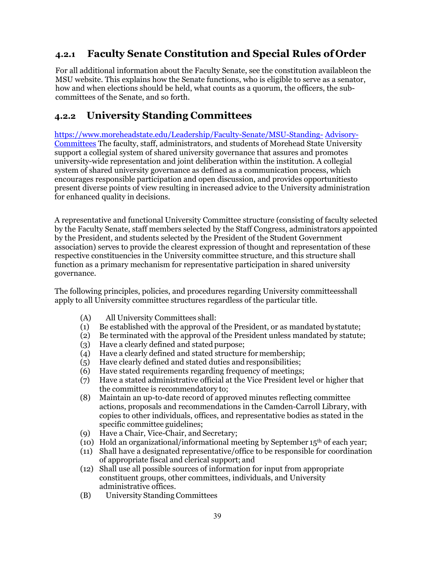## <span id="page-38-0"></span>**4.2.1 Faculty Senate Constitution and Special Rules of Order**

For all additional information about the Faculty Senate, see the [constitution availableon the](http://www.moreheadstate.edu/units/facsenate/constitution)  [MSU website.](http://www.moreheadstate.edu/units/facsenate/constitution) This explains how the Senate functions, who is eligible to serve as a senator, how and when elections should be held, what counts as a quorum, the officers, the subcommittees of the Senate, and so forth.

## <span id="page-38-1"></span>**4.2.2 University Standing Committees**

<https://www.moreheadstate.edu/Leadership/Faculty-Senate/MSU-Standing-> [Advisory-](https://www.moreheadstate.edu/Leadership/Faculty-Senate/MSU-Standing-Advisory-Committees)[Committees](https://www.moreheadstate.edu/Leadership/Faculty-Senate/MSU-Standing-Advisory-Committees) The faculty, staff, administrators, and students of Morehead State University support a collegial system of shared university governance that assures and promotes university-wide representation and joint deliberation within the institution. A collegial system of shared university governance as defined as a communication process, which encourages responsible participation and open discussion, and provides opportunitiesto present diverse points of view resulting in increased advice to the University administration for enhanced quality in decisions.

A representative and functional University Committee structure (consisting of faculty selected by the Faculty Senate, staff members selected by the Staff Congress, administrators appointed by the President, and students selected by the President of the Student Government association) serves to provide the clearest expression of thought and representation of these respective constituencies in the University committee structure, and this structure shall function as a primary mechanism for representative participation in shared university governance.

The following principles, policies, and procedures regarding University committeesshall apply to all University committee structures regardless of the particular title.

- (A) All University Committees shall:
- (1) Be established with the approval of the President, or as mandated bystatute;
- (2) Be terminated with the approval of the President unless mandated by statute;
- (3) Have a clearly defined and stated purpose;
- (4) Have a clearly defined and stated structure formembership;
- (5) Have clearly defined and stated duties andresponsibilities;
- (6) Have stated requirements regarding frequency of meetings;
- (7) Have a stated administrative official at the Vice President level or higher that the committee is recommendatory to;
- (8) Maintain an up-to-date record of approved minutes reflecting committee actions, proposals and recommendations in the Camden-Carroll Library, with copies to other individuals, offices, and representative bodies as stated in the specific committee guidelines;
- (9) Have a Chair, Vice-Chair, and Secretary;
- (10) Hold an organizational/informational meeting by September 15<sup>th</sup> of each year;
- (11) Shall have a designated representative/office to be responsible for coordination of appropriate fiscal and clerical support; and
- (12) Shall use all possible sources of information for input from appropriate constituent groups, other committees, individuals, and University administrative offices.
- (B) University Standing Committees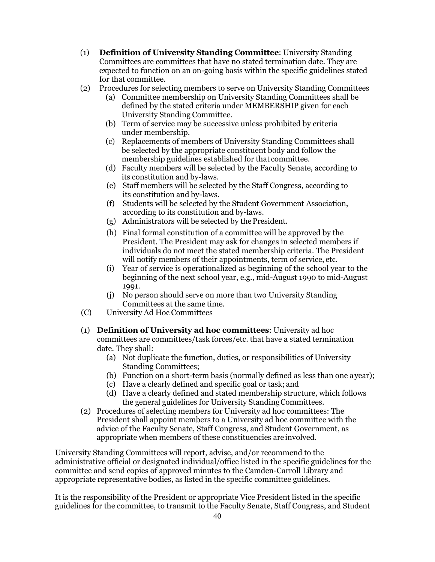- (1) **Definition of University Standing Committee**: University Standing Committees are committees that have no stated termination date. They are expected to function on an on-going basis within the specific guidelines stated for that committee.
- (2) Procedures for selecting members to serve on University Standing Committees
	- (a) Committee membership on University Standing Committees shall be defined by the stated criteria under MEMBERSHIP given for each University Standing Committee.
	- (b) Term of service may be successive unless prohibited by criteria under membership.
	- (c) Replacements of members of University Standing Committees shall be selected by the appropriate constituent body and follow the membership guidelines established for that committee.
	- (d) Faculty members will be selected by the Faculty Senate, according to its constitution and by-laws.
	- (e) Staff members will be selected by the Staff Congress, according to its constitution and by-laws.
	- (f) Students will be selected by the Student Government Association, according to its constitution and by-laws.
	- (g) Administrators will be selected by thePresident.
	- (h) Final formal constitution of a committee will be approved by the President. The President may ask for changes in selected members if individuals do not meet the stated membership criteria. The President will notify members of their appointments, term of service, etc.
	- (i) Year of service is operationalized as beginning of the school year to the beginning of the next school year, e.g., mid-August 1990 to mid-August 1991.
	- (j) No person should serve on more than two University Standing Committees at the same time.
- (C) University Ad Hoc Committees
- (1) **Definition of University ad hoc committees**: University ad hoc committees are committees/task forces/etc. that have a stated termination date. They shall:
	- (a) Not duplicate the function, duties, or responsibilities of University Standing Committees;
	- (b) Function on a short-term basis (normally defined as less than one ayear);
	- (c) Have a clearly defined and specific goal or task; and
	- (d) Have a clearly defined and stated membership structure, which follows the general guidelines for University Standing Committees.
- (2) Procedures of selecting members for University ad hoc committees: The President shall appoint members to a University ad hoc committee with the advice of the Faculty Senate, Staff Congress, and Student Government, as appropriate when members of these constituencies are involved.

University Standing Committees will report, advise, and/or recommend to the administrative official or designated individual/office listed in the specific guidelines for the committee and send copies of approved minutes to the Camden-Carroll Library and appropriate representative bodies, as listed in the specific committee guidelines.

It is the responsibility of the President or appropriate Vice President listed in the specific guidelines for the committee, to transmit to the Faculty Senate, Staff Congress, and Student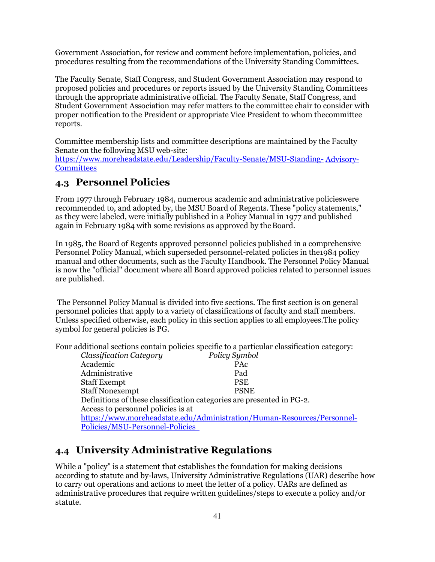Government Association, for review and comment before implementation, policies, and procedures resulting from the recommendations of the University Standing Committees.

The Faculty Senate, Staff Congress, and Student Government Association may respond to proposed policies and procedures or reports issued by the University Standing Committees through the appropriate administrative official. The Faculty Senate, Staff Congress, and Student Government Association may refer matters to the committee chair to consider with proper notification to the President or appropriate Vice President to whom the committee reports.

Committee membership lists and committee descriptions are maintained by the Faculty Senate on the following MSU web-site:

[https://www.moreheadstate.edu/Leadership/Faculty-Senate/MSU-Standing-](https://www.moreheadstate.edu/Leadership/Faculty-Senate/MSU-Standing-Advisory-Committees) [Advisory-](https://www.moreheadstate.edu/Leadership/Faculty-Senate/MSU-Standing-Advisory-Committees)**[Committees](https://www.moreheadstate.edu/Leadership/Faculty-Senate/MSU-Standing-Advisory-Committees)** 

#### <span id="page-40-0"></span>**4.3 Personnel Policies**

From 1977 through February 1984, numerous academic and administrative policieswere recommended to, and adopted by, the MSU Board of Regents. These "policy statements," as they were labeled, were initially published in a Policy Manual in 1977 and published again in February 1984 with some revisions as approved by theBoard.

In 1985, the Board of Regents approved personnel policies published in a comprehensive Personnel Policy Manual, which superseded personnel-related policies in the1984 policy manual and other documents, such as the Faculty Handbook. The Personnel Policy Manual is now the "official" document where all Board approved policies related to personnel issues are published.

The Personnel Policy Manual is divided into five sections. The first section is on general personnel policies that apply to a variety of classifications of faculty and staff members. Unless specified otherwise, each policy in this section applies to all employees.The policy symbol for general policies is PG.

Four additional sections contain policies specific to a particular classification category:

| Policy Symbol                                                           |  |  |  |  |  |
|-------------------------------------------------------------------------|--|--|--|--|--|
| PAc                                                                     |  |  |  |  |  |
| Pad                                                                     |  |  |  |  |  |
| <b>PSE</b>                                                              |  |  |  |  |  |
| <b>PSNE</b>                                                             |  |  |  |  |  |
| Definitions of these classification categories are presented in PG-2.   |  |  |  |  |  |
|                                                                         |  |  |  |  |  |
| https://www.moreheadstate.edu/Administration/Human-Resources/Personnel- |  |  |  |  |  |
| Policies/MSU-Personnel-Policies                                         |  |  |  |  |  |
|                                                                         |  |  |  |  |  |

## <span id="page-40-1"></span>**4.4 University Administrative Regulations**

While a "policy" is a statement that establishes the foundation for making decisions according to statute and by-laws, University Administrative Regulations (UAR) describe how to carry out operations and actions to meet the letter of a policy. UARs are defined as administrative procedures that require written guidelines/steps to execute a policy and/or statute.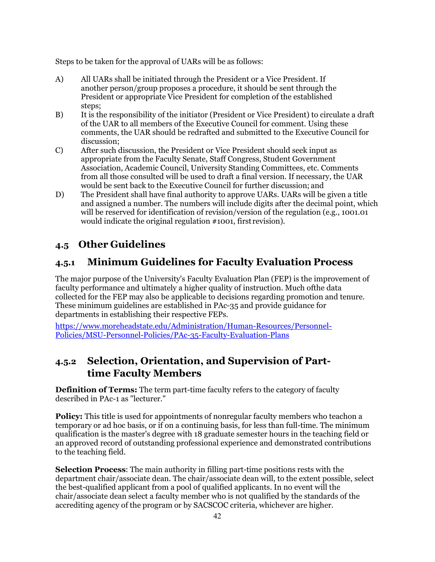Steps to be taken for the approval of UARs will be as follows:

- A) All UARs shall be initiated through the President or a Vice President. If another person/group proposes a procedure, it should be sent through the President or appropriate Vice President for completion of the established steps;
- B) It is the responsibility of the initiator (President or Vice President) to circulate a draft of the UAR to all members of the Executive Council for comment. Using these comments, the UAR should be redrafted and submitted to the Executive Council for discussion;
- C) After such discussion, the President or Vice President should seek input as appropriate from the Faculty Senate, Staff Congress, Student Government Association, Academic Council, University Standing Committees, etc. Comments from all those consulted will be used to draft a final version. If necessary, the UAR would be sent back to the Executive Council for further discussion; and
- D) The President shall have final authority to approve UARs. UARs will be given a title and assigned a number. The numbers will include digits after the decimal point, which will be reserved for identification of revision/version of the regulation (e.g., 1001.01 would indicate the original regulation #1001, first revision).

## <span id="page-41-0"></span>**4.5 Other Guidelines**

## <span id="page-41-1"></span>**4.5.1 Minimum Guidelines for Faculty Evaluation Process**

The major purpose of the University's Faculty Evaluation Plan (FEP) is the improvement of faculty performance and ultimately a higher quality of instruction. Much ofthe data collected for the FEP may also be applicable to decisions regarding promotion and tenure. These minimum guidelines are established in PAc-35 and provide guidance for departments in establishing their respective FEPs.

[https://www.moreheadstate.edu/Administration/Human-Resources/Personnel-](https://www.moreheadstate.edu/Administration/Human-Resources/Personnel-Policies/MSU-Personnel-Policies/PAc-35-Faculty-Evaluation-Plans)[Policies/MSU-Personnel-Policies/PAc-35-Faculty-Evaluation-Plans](https://www.moreheadstate.edu/Administration/Human-Resources/Personnel-Policies/MSU-Personnel-Policies/PAc-35-Faculty-Evaluation-Plans) 

## <span id="page-41-2"></span>**4.5.2 Selection, Orientation, and Supervision of Parttime Faculty Members**

**Definition of Terms:** The term part-time faculty refers to the category of faculty described in PAc-1 as "lecturer."

**Policy:** This title is used for appointments of nonregular faculty members who teachon a temporary or ad hoc basis, or if on a continuing basis, for less than full-time. The minimum qualification is the master's degree with 18 graduate semester hours in the teaching field or an approved record of outstanding professional experience and demonstrated contributions to the teaching field.

**Selection Process**: The main authority in filling part-time positions rests with the department chair/associate dean. The chair/associate dean will, to the extent possible, select the best-qualified applicant from a pool of qualified applicants. In no event will the chair/associate dean select a faculty member who is not qualified by the standards of the accrediting agency of the program or by SACSCOC criteria, whichever are higher.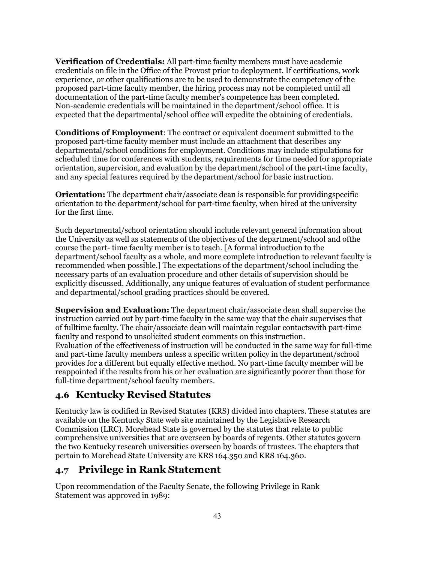**Verification of Credentials:** All part-time faculty members must have academic credentials on file in the Office of the Provost prior to deployment. If certifications, work experience, or other qualifications are to be used to demonstrate the competency of the proposed part-time faculty member, the hiring process may not be completed until all documentation of the part-time faculty member's competence has been completed. Non-academic credentials will be maintained in the department/school office. It is expected that the departmental/school office will expedite the obtaining of credentials.

**Conditions of Employment**: The contract or equivalent document submitted to the proposed part-time faculty member must include an attachment that describes any departmental/school conditions for employment. Conditions may include stipulations for scheduled time for conferences with students, requirements for time needed for appropriate orientation, supervision, and evaluation by the department/school of the part-time faculty, and any special features required by the department/school for basic instruction.

**Orientation:** The department chair/associate dean is responsible for providing specific orientation to the department/school for part-time faculty, when hired at the university for the first time.

Such departmental/school orientation should include relevant general information about the University as well as statements of the objectives of the department/school and ofthe course the part- time faculty member is to teach. [A formal introduction to the department/school faculty as a whole, and more complete introduction to relevant faculty is recommended when possible.] The expectations of the department/school including the necessary parts of an evaluation procedure and other details of supervision should be explicitly discussed. Additionally, any unique features of evaluation of student performance and departmental/school grading practices should be covered.

**Supervision and Evaluation:** The department chair/associate dean shall supervise the instruction carried out by part-time faculty in the same way that the chair supervises that of fulltime faculty. The chair/associate dean will maintain regular contactswith part-time faculty and respond to unsolicited student comments on this instruction. Evaluation of the effectiveness of instruction will be conducted in the same way for full-time and part-time faculty members unless a specific written policy in the department/school provides for a different but equally effective method. No part-time faculty member will be reappointed if the results from his or her evaluation are significantly poorer than those for full-time department/school faculty members.

#### <span id="page-42-0"></span>**4.6 Kentucky Revised Statutes**

Kentucky law is codified in Revised Statutes (KRS) divided into chapters. These statutes are available on the Kentucky State web site maintained by the Legislative Research Commission (LRC). Morehead State is governed by the statutes that relate to public comprehensive universities that are overseen by boards of regents. Other statutes govern the two Kentucky research universities overseen by boards of trustees. The chapters that pertain to Morehead State University are [KRS 164.350](http://www.lrc.ky.gov/statutes/statute.aspx?id=4268) and KRS [164.360.](http://www.lrc.ky.gov/Statutes/statute.aspx?id=4276)

#### <span id="page-42-1"></span>**4.7 Privilege in Rank Statement**

Upon recommendation of the Faculty Senate, the following Privilege in Rank Statement was approved in 1989: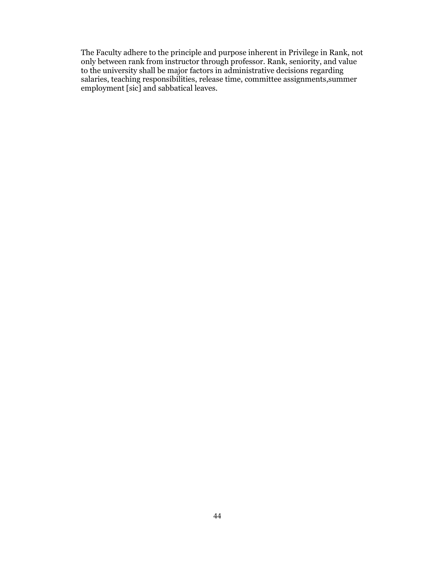The Faculty adhere to the principle and purpose inherent in Privilege in Rank, not only between rank from instructor through professor. Rank, seniority, and value to the university shall be major factors in administrative decisions regarding salaries, teaching responsibilities, release time, committee assignments,summer employment [sic] and sabbatical leaves.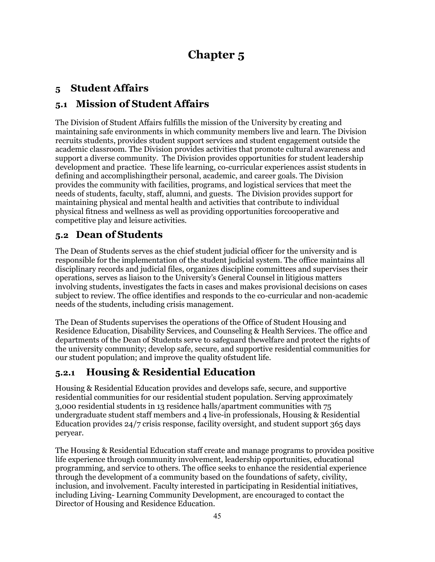# **Chapter 5**

## <span id="page-44-1"></span><span id="page-44-0"></span>**5 Student Affairs**

## <span id="page-44-2"></span>**5.1 Mission of Student Affairs**

The Division of Student Affairs fulfills the mission of the University by creating and maintaining safe environments in which community members live and learn. The Division recruits students, provides student support services and student engagement outside the academic classroom. The Division provides activities that promote cultural awareness and support a diverse community. The Division provides opportunities for student leadership development and practice. These life learning, co-curricular experiences assist students in defining and accomplishingtheir personal, academic, and career goals. The Division provides the community with facilities, programs, and logistical services that meet the needs of students, faculty, staff, alumni, and guests. The Division provides support for maintaining physical and mental health and activities that contribute to individual physical fitness and wellness as well as providing opportunities forcooperative and competitive play and leisure activities.

## <span id="page-44-3"></span>**5.2 Dean of Students**

The Dean of Students serves as the chief student judicial officer for the university and is responsible for the implementation of the student judicial system. The office maintains all disciplinary records and judicial files, organizes discipline committees and supervises their operations, serves as liaison to the University's General Counsel in litigious matters involving students, investigates the facts in cases and makes provisional decisions on cases subject to review. The office identifies and responds to the co-curricular and non-academic needs of the students, including crisis management.

The Dean of Students supervises the operations of the Office of Student Housing and Residence Education, Disability Services, and Counseling & Health Services. The office and departments of the Dean of Students serve to safeguard thewelfare and protect the rights of the university community; develop safe, secure, and supportive residential communities for our student population; and improve the quality ofstudent life.

## <span id="page-44-4"></span>**5.2.1 Housing & Residential Education**

Housing & Residential Education provides and develops safe, secure, and supportive residential communities for our residential student population. Serving approximately 3,000 residential students in 13 residence halls/apartment communities with 75 undergraduate student staff members and 4 live-in professionals, Housing & Residential Education provides 24/7 crisis response, facility oversight, and student support 365 days peryear.

The Housing & Residential Education staff create and manage programs to providea positive life experience through community involvement, leadership opportunities, educational programming, and service to others. The office seeks to enhance the residential experience through the development of a community based on the foundations of safety, civility, inclusion, and involvement. Faculty interested in participating in Residential initiatives, including Living- Learning Community Development, are encouraged to contact the Director of Housing and Residence Education.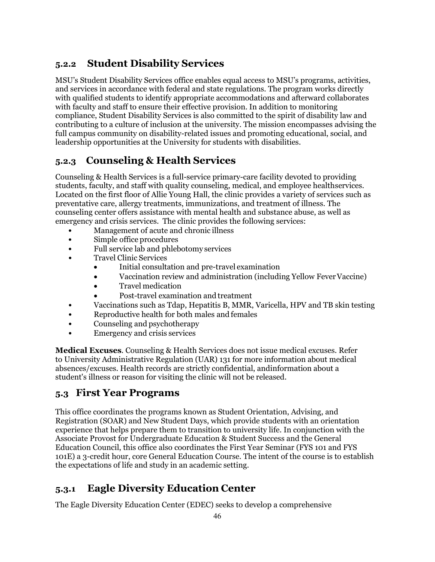## <span id="page-45-0"></span>**5.2.2 Student Disability Services**

MSU's Student Disability Services office enables equal access to MSU's programs, activities, and services in accordance with federal and state regulations. The program works directly with qualified students to identify appropriate accommodations and afterward collaborates with faculty and staff to ensure their effective provision. In addition to monitoring compliance, Student Disability Services is also committed to the spirit of disability law and contributing to a culture of inclusion at the university. The mission encompasses advising the full campus community on disability-related issues and promoting educational, social, and leadership opportunities at the University for students with disabilities.

## <span id="page-45-1"></span>**5.2.3 Counseling & Health Services**

Counseling & Health Services is a full-service primary-care facility devoted to providing students, faculty, and staff with quality counseling, medical, and employee healthservices. Located on the first floor of Allie Young Hall, the clinic provides a variety of services such as preventative care, allergy treatments, immunizations, and treatment of illness. The counseling center offers assistance with mental health and substance abuse, as well as emergency and crisis services. The clinic provides the following services:

- Management of acute and chronic illness
- Simple office procedures
- Full service lab and phlebotomy services
- Travel Clinic Services
	- Initial consultation and pre-travel examination
	- Vaccination review and administration (including Yellow Fever Vaccine)
	- Travel medication
	- Post-travel examination and treatment
- Vaccinations such as Tdap, Hepatitis B, MMR, Varicella, HPV and TB skin testing
- Reproductive health for both males and females
- Counseling and psychotherapy
- Emergency and crisis services

**Medical Excuses**. Counseling & Health Services does not issue medical excuses. Refer to University Administrative Regulation (UAR) 131 for more information about medical absences/excuses. Health records are strictly confidential, andinformation about a student's illness or reason for visiting the clinic will not be released.

## <span id="page-45-2"></span>**5.3 First Year Programs**

This office coordinates the programs known as Student Orientation, Advising, and Registration (SOAR) and New Student Days, which provide students with an orientation experience that helps prepare them to transition to university life. In conjunction with the Associate Provost for Undergraduate Education & Student Success and the General Education Council, this office also coordinates the First Year Seminar (FYS 101 and FYS 101E) a 3-credit hour, core General Education Course. The intent of the course is to establish the expectations of life and study in an academic setting.

## <span id="page-45-3"></span>**5.3.1 Eagle Diversity Education Center**

The Eagle Diversity Education Center (EDEC) seeks to develop a comprehensive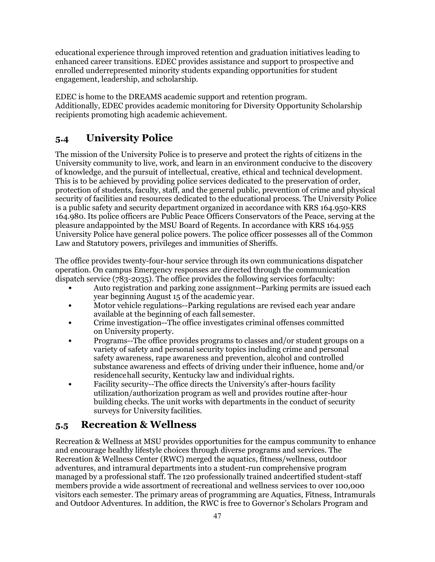educational experience through improved retention and graduation initiatives leading to enhanced career transitions. EDEC provides assistance and support to prospective and enrolled underrepresented minority students expanding opportunities for student engagement, leadership, and scholarship.

EDEC is home to the DREAMS academic support and retention program. Additionally, EDEC provides academic monitoring for Diversity Opportunity Scholarship recipients promoting high academic achievement.

## <span id="page-46-0"></span>**5.4 University Police**

The mission of the University Police is to preserve and protect the rights of citizens in the University community to live, work, and learn in an environment conducive to the discovery of knowledge, and the pursuit of intellectual, creative, ethical and technical development. This is to be achieved by providing police services dedicated to the preservation of order, protection of students, faculty, staff, and the general public, prevention of crime and physical security of facilities and resources dedicated to the educational process. The University Police is a public safety and security department organized in accordance with KRS 164.950-KRS 164.980. Its police officers are Public Peace Officers Conservators of the Peace, serving at the pleasure andappointed by the MSU Board of Regents. In accordance with KRS 164.955 University Police have general police powers. The police officer possesses all of the Common Law and Statutory powers, privileges and immunities of Sheriffs.

The office provides twenty-four-hour service through its own communications dispatcher operation. On campus Emergency responses are directed through the communication dispatch service (783-2035). The office provides the following services forfaculty:

- Auto registration and parking zone assignment--Parking permits are issued each year beginning August 15 of the academic year.
- Motor vehicle regulations--Parking regulations are revised each year andare available at the beginning of each fall semester.
- Crime investigation--The office investigates criminal offenses committed on University property.
- Programs--The office provides programs to classes and/or student groups on a variety of safety and personal security topics including crime and personal safety awareness, rape awareness and prevention, alcohol and controlled substance awareness and effects of driving under their influence, home and/or residencehall security, Kentucky law and individual rights.
- Facility security--The office directs the University's after-hours facility utilization/authorization program as well and provides routine after-hour building checks. The unit works with departments in the conduct of security surveys for University facilities.

## <span id="page-46-1"></span>**5.5 Recreation & Wellness**

Recreation & Wellness at MSU provides opportunities for the campus community to enhance and encourage healthy lifestyle choices through diverse programs and services. The Recreation & Wellness Center (RWC) merged the aquatics, fitness/wellness, outdoor adventures, and intramural departments into a student-run comprehensive program managed by a professional staff. The 120 professionally trained andcertified student-staff members provide a wide assortment of recreational and wellness services to over 100,000 visitors each semester. The primary areas of programming are Aquatics, Fitness, Intramurals and Outdoor Adventures. In addition, the RWC is free to Governor's Scholars Program and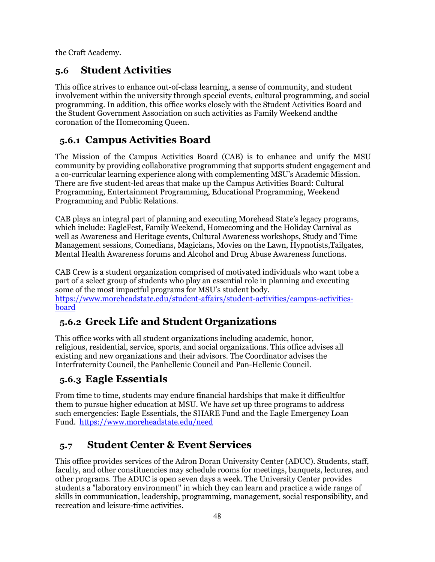<span id="page-47-0"></span>the Craft Academy.

## **5.6 Student Activities**

This office strives to enhance out-of-class learning, a sense of community, and student involvement within the university through special events, cultural programming, and social programming. In addition, this office works closely with the Student Activities Board and the Student Government Association on such activities as Family Weekend andthe coronation of the Homecoming Queen.

## <span id="page-47-1"></span>**5.6.1 Campus Activities Board**

The Mission of the Campus Activities Board (CAB) is to enhance and unify the MSU community by providing collaborative programming that supports student engagement and a co-curricular learning experience along with complementing MSU's Academic Mission. There are five student-led areas that make up the Campus Activities Board: Cultural Programming, Entertainment Programming, Educational Programming, Weekend Programming and Public Relations.

CAB plays an integral part of planning and executing Morehead State's legacy programs, which include: EagleFest, Family Weekend, Homecoming and the Holiday Carnival as well as Awareness and Heritage events, Cultural Awareness workshops, Study and Time Management sessions, Comedians, Magicians, Movies on the Lawn, Hypnotists,Tailgates, Mental Health Awareness forums and Alcohol and Drug Abuse Awareness functions.

CAB Crew is a student organization comprised of motivated individuals who want tobe a part of a select group of students who play an essential role in planning and executing some of the most impactful programs for MSU's student body. [https://www.moreheadstate.edu/student-affairs/student-activities/campus-activities](https://www.moreheadstate.edu/student-affairs/student-activities/campus-activities-board)[board](https://www.moreheadstate.edu/student-affairs/student-activities/campus-activities-board) 

## <span id="page-47-2"></span>**5.6.2 Greek Life and Student Organizations**

This office works with all student organizations including academic, honor, religious, residential, service, sports, and social organizations. This office advises all existing and new organizations and their advisors. The Coordinator advises the Interfraternity Council, the Panhellenic Council and Pan-Hellenic Council.

## <span id="page-47-3"></span>**5.6.3 Eagle Essentials**

From time to time, students may endure financial hardships that make it difficultfor them to pursue higher education at MSU. We have set up three programs to address such emergencies: Eagle Essentials, the [SHARE Fund a](https://www.moreheadstate.edu/need#share)nd th[e Eagle Emergency Loan](https://www.moreheadstate.edu/need#eelf) [Fund.](https://www.moreheadstate.edu/need#eelf) <https://www.moreheadstate.edu/need>

## <span id="page-47-4"></span>**5.7 Student Center & Event Services**

This office provides services of the Adron Doran University Center (ADUC). Students, staff, faculty, and other constituencies may schedule rooms for meetings, banquets, lectures, and other programs. The ADUC is open seven days a week. The University Center provides students a "laboratory environment" in which they can learn and practice a wide range of skills in communication, leadership, programming, management, social responsibility, and recreation and leisure-time activities.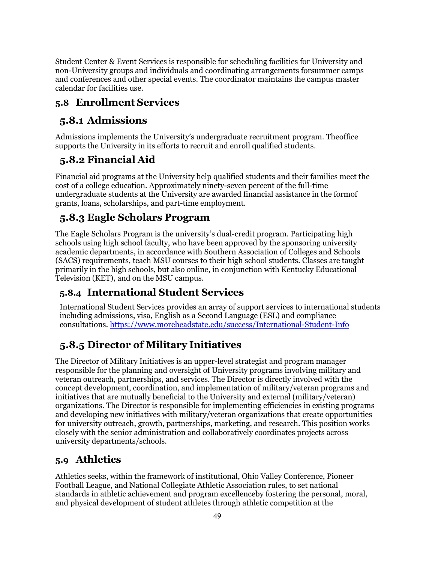Student Center & Event Services is responsible for scheduling facilities for University and non-University groups and individuals and coordinating arrangements forsummer camps and conferences and other special events. The coordinator maintains the campus master calendar for facilities use.

## <span id="page-48-1"></span><span id="page-48-0"></span>**5.8 Enrollment Services**

# **5.8.1 Admissions**

Admissions implements the University's undergraduate recruitment program. Theoffice supports the University in its efforts to recruit and enroll qualified students.

## <span id="page-48-2"></span>**5.8.2 Financial Aid**

Financial aid programs at the University help qualified students and their families meet the cost of a college education. Approximately ninety-seven percent of the full-time undergraduate students at the University are awarded financial assistance in the formof grants, loans, scholarships, and part-time employment.

## <span id="page-48-3"></span>**5.8.3 Eagle Scholars Program**

The Eagle Scholars Program is the university's dual-credit program. Participating high schools using high school faculty, who have been approved by the sponsoring university academic departments, in accordance with Southern Association of Colleges and Schools (SACS) requirements, teach MSU courses to their high school students. Classes are taught primarily in the high schools, but also online, in conjunction with Kentucky Educational Television (KET), and on the MSU campus.

## <span id="page-48-4"></span>**5.8.4 International Student Services**

International Student Services provides an array of support services to international students including admissions, visa, English as a Second Language (ESL) and compliance consultations. <https://www.moreheadstate.edu/success/International-Student-Info>

# <span id="page-48-5"></span>**5.8.5 Director of Military Initiatives**

The Director of Military Initiatives is an upper-level strategist and program manager responsible for the planning and oversight of University programs involving military and veteran outreach, partnerships, and services. The Director is directly involved with the concept development, coordination, and implementation of military/veteran programs and initiatives that are mutually beneficial to the University and external (military/veteran) organizations. The Director is responsible for implementing efficiencies in existing programs and developing new initiatives with military/veteran organizations that create opportunities for university outreach, growth, partnerships, marketing, and research. This position works closely with the senior administration and collaboratively coordinates projects across university departments/schools.

## <span id="page-48-6"></span>**5.9 Athletics**

Athletics seeks, within the framework of institutional, Ohio Valley Conference, Pioneer Football League, and National Collegiate Athletic Association rules, to set national standards in athletic achievement and program excellenceby fostering the personal, moral, and physical development of student athletes through athletic competition at the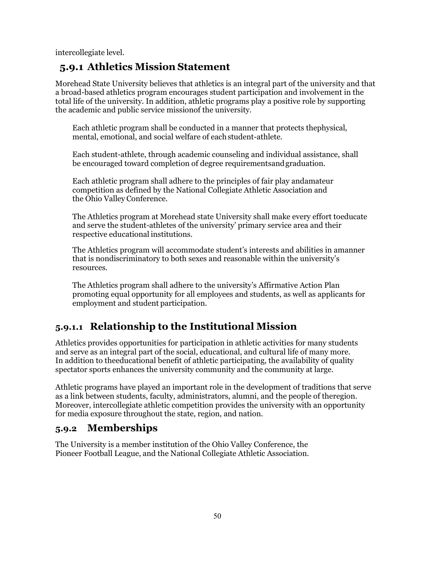<span id="page-49-0"></span>intercollegiate level.

## **5.9.1 Athletics Mission Statement**

Morehead State University believes that athletics is an integral part of the university and that a broad-based athletics program encourages student participation and involvement in the total life of the university. In addition, athletic programs play a positive role by supporting the academic and public service missionof the university.

Each athletic program shall be conducted in a manner that protects thephysical, mental, emotional, and social welfare of eachstudent-athlete.

Each student-athlete, through academic counseling and individual assistance, shall be encouraged toward completion of degree requirementsandgraduation.

Each athletic program shall adhere to the principles of fair play andamateur competition as defined by the National Collegiate Athletic Association and the Ohio Valley Conference.

The Athletics program at Morehead state University shall make every effort toeducate and serve the student-athletes of the university' primary service area and their respective educational institutions.

The Athletics program will accommodate student's interests and abilities in amanner that is nondiscriminatory to both sexes and reasonable within the university's resources.

The Athletics program shall adhere to the university's Affirmative Action Plan promoting equal opportunity for all employees and students, as well as applicants for employment and student participation.

## <span id="page-49-1"></span>**5.9.1.1 Relationship to the Institutional Mission**

Athletics provides opportunities for participation in athletic activities for many students and serve as an integral part of the social, educational, and cultural life of many more. In addition to theeducational benefit of athletic participating, the availability of quality spectator sports enhances the university community and the community at large.

Athletic programs have played an important role in the development of traditions that serve as a link between students, faculty, administrators, alumni, and the people of theregion. Moreover, intercollegiate athletic competition provides the university with an opportunity for media exposure throughout the state, region, and nation.

## <span id="page-49-2"></span>**5.9.2 Memberships**

The University is a member institution of the Ohio Valley Conference, the Pioneer Football League, and the National Collegiate Athletic Association.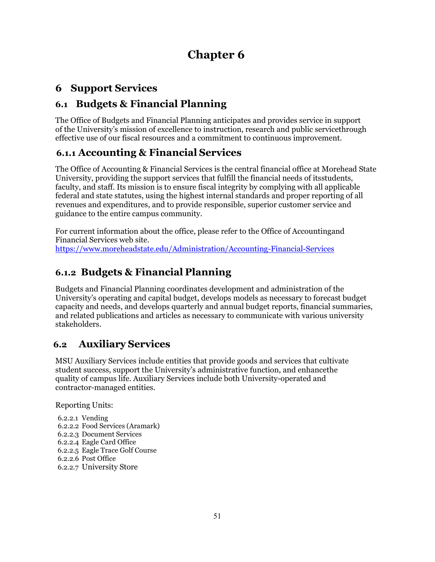# **Chapter 6**

## <span id="page-50-1"></span><span id="page-50-0"></span>**6 Support Services**

## <span id="page-50-2"></span>**6.1 Budgets & Financial Planning**

The Office of Budgets and Financial Planning anticipates and provides service in support of the University's mission of excellence to instruction, research and public servicethrough effective use of our fiscal resources and a commitment to continuous improvement.

## <span id="page-50-3"></span>**6.1.1 Accounting & Financial Services**

The Office of Accounting & Financial Services is the central financial office at Morehead State University, providing the support services that fulfill the financial needs of itsstudents, faculty, and staff. Its mission is to ensure fiscal integrity by complying with all applicable federal and state statutes, using the highest internal standards and proper reporting of all revenues and expenditures, and to provide responsible, superior customer service and guidance to the entire campus community.

For current information about the office, please refer to th[e Office of Accountingand](http://www.moreheadstate.edu/billing/) [Financial](http://www.moreheadstate.edu/billing/) Services web site. <https://www.moreheadstate.edu/Administration/Accounting-Financial-Services>

## <span id="page-50-4"></span>**6.1.2 Budgets & Financial Planning**

Budgets and Financial Planning coordinates development and administration of the University's operating and capital budget, develops models as necessary to forecast budget capacity and needs, and develops quarterly and annual budget reports, financial summaries, and related publications and articles as necessary to communicate with various university stakeholders.

## <span id="page-50-5"></span>**6.2 Auxiliary Services**

MSU Auxiliary Services include entities that provide goods and services that cultivate student success, support the University's administrative function, and enhancethe quality of campus life. Auxiliary Services include both University-operated and contractor-managed entities.

Reporting Units:

6.2.2.1 Vending 6.2.2.2 Food Services (Aramark) 6.2.2.3 Document Services 6.2.2.4 Eagle Card Office 6.2.2.5 Eagle Trace Golf Course 6.2.2.6 Post Office 6.2.2.7 University Store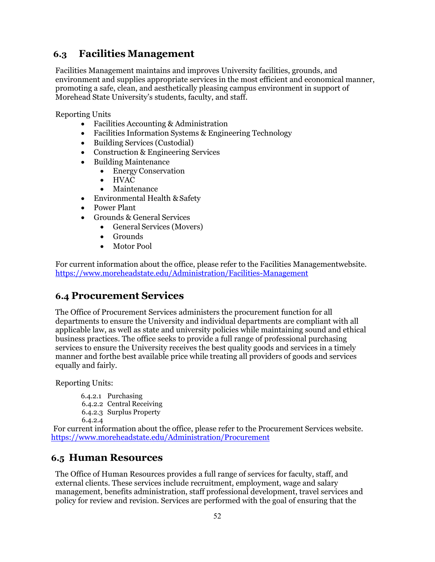#### <span id="page-51-0"></span>**6.3 Facilities Management**

Facilities Management maintains and improves University facilities, grounds, and environment and supplies appropriate services in the most efficient and economical manner, promoting a safe, clean, and aesthetically pleasing campus environment in support of Morehead State University's students, faculty, and staff.

Reporting Units

- Facilities Accounting & Administration
- Facilities Information Systems & Engineering Technology
- Building Services (Custodial)
- Construction & Engineering Services
	- Building Maintenance
		- Energy Conservation
		- HVAC
		- Maintenance
- Environmental Health & Safety
- Power Plant
- Grounds & General Services
	- General Services (Movers)
	- Grounds
	- Motor Pool

For current information about the office, please refer to the Facilities [Managementwebsite.](http://www.moreheadstate.edu/facilities/) <https://www.moreheadstate.edu/Administration/Facilities-Management>

#### <span id="page-51-1"></span>**6.4 Procurement Services**

The Office of Procurement Services administers the procurement function for all departments to ensure the University and individual departments are compliant with all applicable law, as well as state and university policies while maintaining sound and ethical business practices. The office seeks to provide a full range of professional purchasing services to ensure the University receives the best quality goods and services in a timely manner and forthe best available price while treating all providers of goods and services equally and fairly.

Reporting Units:

6.4.2.1 Purchasing 6.4.2.2 Central Receiving 6.4.2.3 Surplus Property 6.4.2.4

For current information about the office, please refer to the [Procurement](http://www.moreheadstate.edu/procurement/) Services we[bsite.](http://www.moreheadstate.edu/procurement/)  <https://www.moreheadstate.edu/Administration/Procurement>

#### <span id="page-51-2"></span>**6.5 Human Resources**

The Office of Human Resources provides a full range of services for faculty, staff, and external clients. These services include recruitment, employment, wage and salary management, benefits administration, staff professional development, travel services and policy for review and revision. Services are performed with the goal of ensuring that the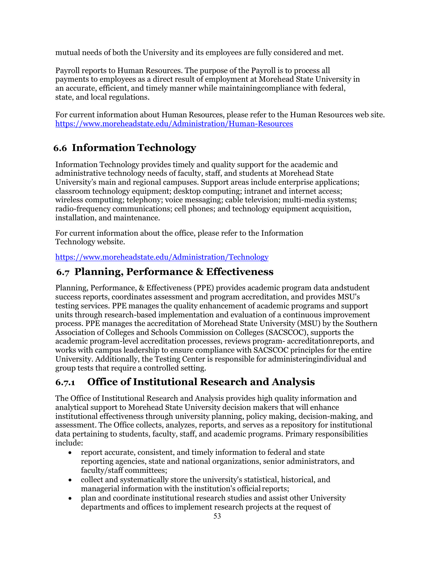mutual needs of both the University and its employees are fully considered and met.

Payroll reports to Human Resources. The purpose of the Payroll is to process all payments to employees as a direct result of employment at Morehead State University in an accurate, efficient, and timely manner while maintainingcompliance with federal, state, and local regulations.

For current information about Human Resources, please refer to the [Human Resources](http://www.moreheadstate.edu/hr/) web site. <https://www.moreheadstate.edu/Administration/Human-Resources>

## <span id="page-52-0"></span>**6.6 Information Technology**

Information Technology provides timely and quality support for the academic and administrative technology needs of faculty, staff, and students at Morehead State University's main and regional campuses. Support areas include enterprise applications; classroom technology equipment; desktop computing; intranet and internet access; wireless computing; telephony; voice messaging; cable television; multi-media systems; radio-frequency communications; cell phones; and technology equipment acquisition, installation, and maintenance.

For current information about the office, please refer to th[e Information](http://www.moreheadstate.edu/it/) [Technology](http://www.moreheadstate.edu/it/) we[bsite.](http://www.moreheadstate.edu/it/) 

<https://www.moreheadstate.edu/Administration/Technology>

#### <span id="page-52-1"></span>**6.7 Planning, Performance & Effectiveness**

Planning, Performance, & Effectiveness (PPE) provides academic program data andstudent success reports, coordinates assessment and program accreditation, and provides MSU's testing services. PPE manages the quality enhancement of academic programs and support units through research-based implementation and evaluation of a continuous improvement process. PPE manages the accreditation of Morehead State University (MSU) by the Southern Association of Colleges and Schools Commission on Colleges (SACSCOC), supports the academic program-level accreditation processes, reviews program- accreditationreports, and works with campus leadership to ensure compliance with SACSCOC principles for the entire University. Additionally, the Testing Center is responsible for administeringindividual and group tests that require a controlled setting.

## <span id="page-52-2"></span>**6.7.1 Office of Institutional Research and Analysis**

The Office of Institutional Research and Analysis provides high quality information and analytical support to Morehead State University decision makers that will enhance institutional effectiveness through university planning, policy making, decision-making, and assessment. The Office collects, analyzes, reports, and serves as a repository for institutional data pertaining to students, faculty, staff, and academic programs. Primary responsibilities include:

- report accurate, consistent, and timely information to federal and state reporting agencies, state and national organizations, senior administrators, and faculty/staff committees;
- collect and systematically store the university's statistical, historical, and managerial information with the institution's official reports;
- plan and coordinate institutional research studies and assist other University departments and offices to implement research projects at the request of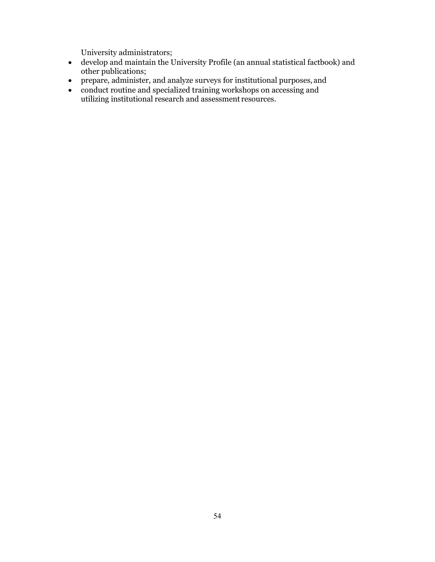University administrators;

- develop and maintain the University Profile (an annual statistical factbook) and other publications;
- prepare, administer, and analyze surveys for institutional purposes, and
- conduct routine and specialized training workshops on accessing and utilizing institutional research and assessment resources.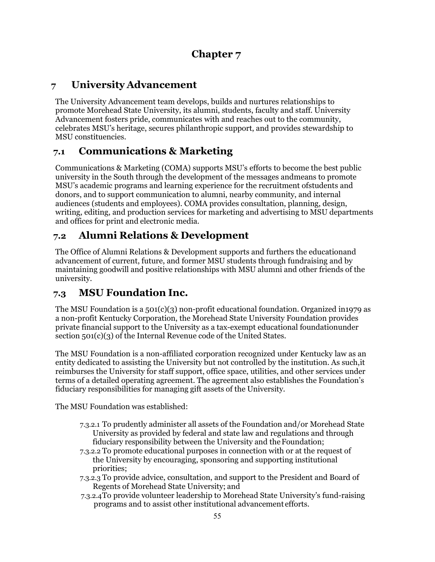## **Chapter 7**

## <span id="page-54-1"></span><span id="page-54-0"></span>**7 University Advancement**

The University Advancement team develops, builds and nurtures relationships to promote Morehead State University, its alumni, students, faculty and staff. University Advancement fosters pride, communicates with and reaches out to the community, celebrates MSU's heritage, secures philanthropic support, and provides stewardship to MSU constituencies.

## <span id="page-54-2"></span>**7.1 Communications & Marketing**

Communications & Marketing (COMA) supports MSU's efforts to become the best public university in the South through the development of the messages andmeans to promote MSU's academic programs and learning experience for the recruitment ofstudents and donors, and to support communication to alumni, nearby community, and internal audiences (students and employees). COMA provides consultation, planning, design, writing, editing, and production services for marketing and advertising to MSU departments and offices for print and electronic media.

## <span id="page-54-3"></span>**7.2 Alumni Relations & Development**

The Office of Alumni Relations & Development supports and furthers the educationand advancement of current, future, and former MSU students through fundraising and by maintaining goodwill and positive relationships with MSU alumni and other friends of the university.

## <span id="page-54-4"></span>**7.3 MSU Foundation Inc.**

The MSU Foundation is a  $501(c)(3)$  non-profit educational foundation. Organized in1979 as a non-profit Kentucky Corporation, the Morehead State University Foundation provides private financial support to the University as a tax-exempt educational foundationunder section 501(c)(3) of the Internal Revenue code of the United States.

The MSU Foundation is a non-affiliated corporation recognized under Kentucky law as an entity dedicated to assisting the University but not controlled by the institution. As such,it reimburses the University for staff support, office space, utilities, and other services under terms of a detailed operating agreement. The agreement also establishes the Foundation's fiduciary responsibilities for managing gift assets of the University.

The MSU Foundation was established:

- 7.3.2.1 To prudently administer all assets of the Foundation and/or Morehead State University as provided by federal and state law and regulations and through fiduciary responsibility between the University and theFoundation;
- 7.3.2.2 To promote educational purposes in connection with or at the request of the University by encouraging, sponsoring and supporting institutional priorities;
- 7.3.2.3 To provide advice, consultation, and support to the President and Board of Regents of Morehead State University; and
- 7.3.2.4To provide volunteer leadership to Morehead State University's fund-raising programs and to assist other institutional advancement efforts.